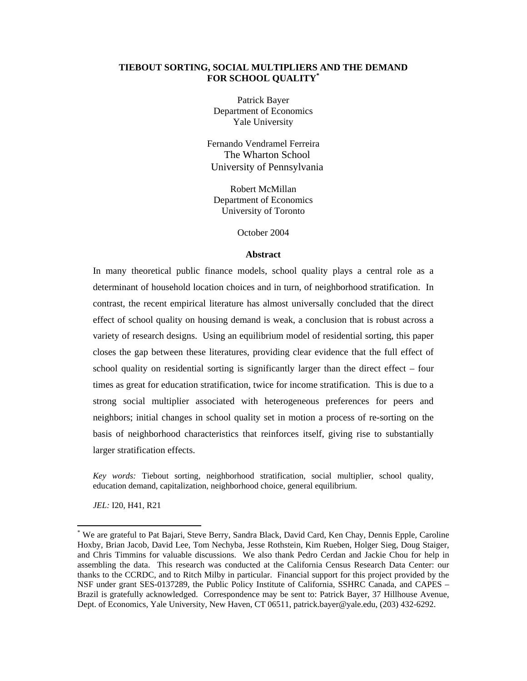## **TIEBOUT SORTING, SOCIAL MULTIPLIERS AND THE DEMAND FOR SCHOOL QUALITY\***

Patrick Bayer Department of Economics Yale University

Fernando Vendramel Ferreira The Wharton School University of Pennsylvania

Robert McMillan Department of Economics University of Toronto

October 2004

#### **Abstract**

In many theoretical public finance models, school quality plays a central role as a determinant of household location choices and in turn, of neighborhood stratification. In contrast, the recent empirical literature has almost universally concluded that the direct effect of school quality on housing demand is weak, a conclusion that is robust across a variety of research designs. Using an equilibrium model of residential sorting, this paper closes the gap between these literatures, providing clear evidence that the full effect of school quality on residential sorting is significantly larger than the direct effect – four times as great for education stratification, twice for income stratification. This is due to a strong social multiplier associated with heterogeneous preferences for peers and neighbors; initial changes in school quality set in motion a process of re-sorting on the basis of neighborhood characteristics that reinforces itself, giving rise to substantially larger stratification effects.

*Key words:* Tiebout sorting, neighborhood stratification, social multiplier, school quality, education demand, capitalization, neighborhood choice, general equilibrium.

*JEL:* I20, H41, R21

<sup>\*</sup> We are grateful to Pat Bajari, Steve Berry, Sandra Black, David Card, Ken Chay, Dennis Epple, Caroline Hoxby, Brian Jacob, David Lee, Tom Nechyba, Jesse Rothstein, Kim Rueben, Holger Sieg, Doug Staiger, and Chris Timmins for valuable discussions. We also thank Pedro Cerdan and Jackie Chou for help in assembling the data. This research was conducted at the California Census Research Data Center: our thanks to the CCRDC, and to Ritch Milby in particular. Financial support for this project provided by the NSF under grant SES-0137289, the Public Policy Institute of California, SSHRC Canada, and CAPES – Brazil is gratefully acknowledged. Correspondence may be sent to: Patrick Bayer, 37 Hillhouse Avenue, Dept. of Economics, Yale University, New Haven, CT 06511, patrick.bayer@yale.edu, (203) 432-6292.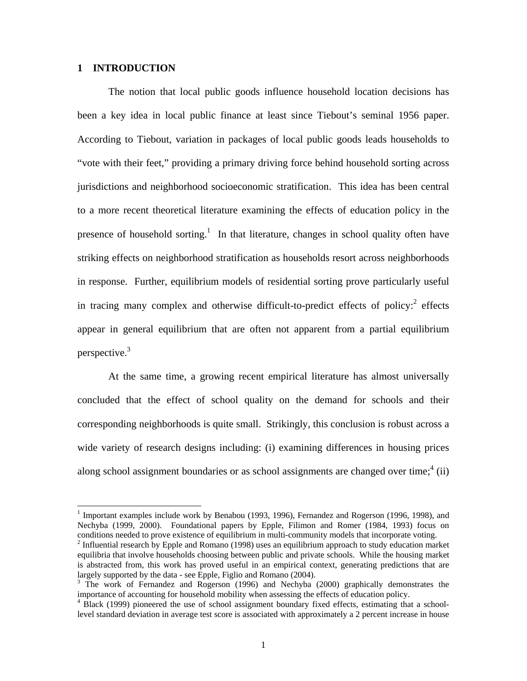# **1 INTRODUCTION**

l

The notion that local public goods influence household location decisions has been a key idea in local public finance at least since Tiebout's seminal 1956 paper. According to Tiebout, variation in packages of local public goods leads households to "vote with their feet," providing a primary driving force behind household sorting across jurisdictions and neighborhood socioeconomic stratification. This idea has been central to a more recent theoretical literature examining the effects of education policy in the presence of household sorting.<sup>1</sup> In that literature, changes in school quality often have striking effects on neighborhood stratification as households resort across neighborhoods in response. Further, equilibrium models of residential sorting prove particularly useful in tracing many complex and otherwise difficult-to-predict effects of policy: $2$  effects appear in general equilibrium that are often not apparent from a partial equilibrium perspective.3

At the same time, a growing recent empirical literature has almost universally concluded that the effect of school quality on the demand for schools and their corresponding neighborhoods is quite small. Strikingly, this conclusion is robust across a wide variety of research designs including: (i) examining differences in housing prices along school assignment boundaries or as school assignments are changed over time; $4$  (ii)

<sup>&</sup>lt;sup>1</sup> Important examples include work by Benabou (1993, 1996), Fernandez and Rogerson (1996, 1998), and Nechyba (1999, 2000). Foundational papers by Epple, Filimon and Romer (1984, 1993) focus on conditions needed to prove existence of equilibrium in multi-community models that incorporate voting. 2

 $<sup>2</sup>$  Influential research by Epple and Romano (1998) uses an equilibrium approach to study education market</sup> equilibria that involve households choosing between public and private schools. While the housing market is abstracted from, this work has proved useful in an empirical context, generating predictions that are largely supported by the data - see Epple, Figlio and Romano (2004).

<sup>&</sup>lt;sup>3</sup> The work of Fernandez and Rogerson (1996) and Nechyba (2000) graphically demonstrates the importance of accounting for household mobility when assessing the effects of education policy. 4

<sup>&</sup>lt;sup>4</sup> Black (1999) pioneered the use of school assignment boundary fixed effects, estimating that a schoollevel standard deviation in average test score is associated with approximately a 2 percent increase in house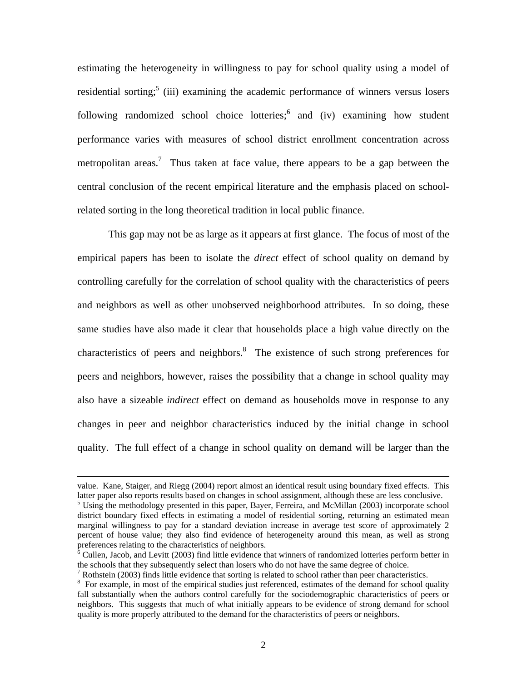estimating the heterogeneity in willingness to pay for school quality using a model of residential sorting;<sup>5</sup> (iii) examining the academic performance of winners versus losers following randomized school choice lotteries; and (iv) examining how student performance varies with measures of school district enrollment concentration across metropolitan areas.<sup>7</sup> Thus taken at face value, there appears to be a gap between the central conclusion of the recent empirical literature and the emphasis placed on schoolrelated sorting in the long theoretical tradition in local public finance.

This gap may not be as large as it appears at first glance. The focus of most of the empirical papers has been to isolate the *direct* effect of school quality on demand by controlling carefully for the correlation of school quality with the characteristics of peers and neighbors as well as other unobserved neighborhood attributes. In so doing, these same studies have also made it clear that households place a high value directly on the characteristics of peers and neighbors. $\delta$  The existence of such strong preferences for peers and neighbors, however, raises the possibility that a change in school quality may also have a sizeable *indirect* effect on demand as households move in response to any changes in peer and neighbor characteristics induced by the initial change in school quality. The full effect of a change in school quality on demand will be larger than the

value. Kane, Staiger, and Riegg (2004) report almost an identical result using boundary fixed effects. This latter paper also reports results based on changes in school assignment, although these are less conclusive.

<sup>&</sup>lt;sup>5</sup> Using the methodology presented in this paper, Bayer, Ferreira, and McMillan (2003) incorporate school district boundary fixed effects in estimating a model of residential sorting, returning an estimated mean marginal willingness to pay for a standard deviation increase in average test score of approximately 2 percent of house value; they also find evidence of heterogeneity around this mean, as well as strong preferences relating to the characteristics of neighbors.

 $\delta$  Cullen, Jacob, and Levitt (2003) find little evidence that winners of randomized lotteries perform better in the schools that they subsequently select than losers who do not have the same degree of choice.

Rothstein (2003) finds little evidence that sorting is related to school rather than peer characteristics.

<sup>&</sup>lt;sup>8</sup> For example, in most of the empirical studies just referenced, estimates of the demand for school quality fall substantially when the authors control carefully for the sociodemographic characteristics of peers or neighbors. This suggests that much of what initially appears to be evidence of strong demand for school quality is more properly attributed to the demand for the characteristics of peers or neighbors.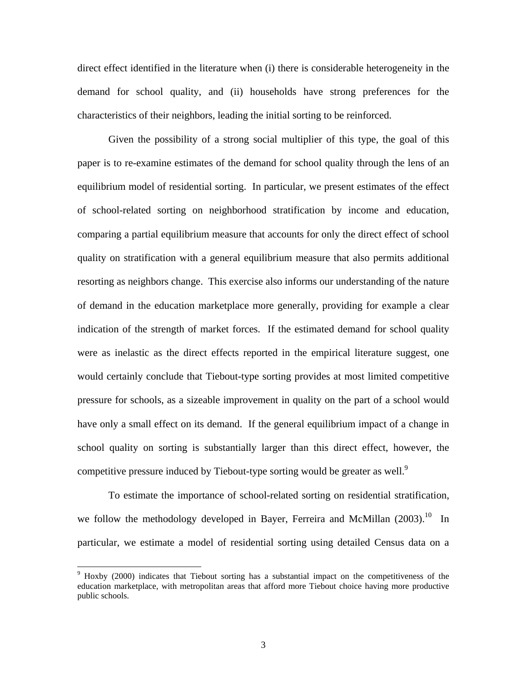direct effect identified in the literature when (i) there is considerable heterogeneity in the demand for school quality, and (ii) households have strong preferences for the characteristics of their neighbors, leading the initial sorting to be reinforced.

Given the possibility of a strong social multiplier of this type, the goal of this paper is to re-examine estimates of the demand for school quality through the lens of an equilibrium model of residential sorting. In particular, we present estimates of the effect of school-related sorting on neighborhood stratification by income and education, comparing a partial equilibrium measure that accounts for only the direct effect of school quality on stratification with a general equilibrium measure that also permits additional resorting as neighbors change. This exercise also informs our understanding of the nature of demand in the education marketplace more generally, providing for example a clear indication of the strength of market forces. If the estimated demand for school quality were as inelastic as the direct effects reported in the empirical literature suggest, one would certainly conclude that Tiebout-type sorting provides at most limited competitive pressure for schools, as a sizeable improvement in quality on the part of a school would have only a small effect on its demand. If the general equilibrium impact of a change in school quality on sorting is substantially larger than this direct effect, however, the competitive pressure induced by Tiebout-type sorting would be greater as well.<sup>9</sup>

To estimate the importance of school-related sorting on residential stratification, we follow the methodology developed in Bayer, Ferreira and McMillan  $(2003)$ <sup>10</sup> In particular, we estimate a model of residential sorting using detailed Census data on a

<sup>&</sup>lt;sup>9</sup> Hoxby (2000) indicates that Tiebout sorting has a substantial impact on the competitiveness of the education marketplace, with metropolitan areas that afford more Tiebout choice having more productive public schools.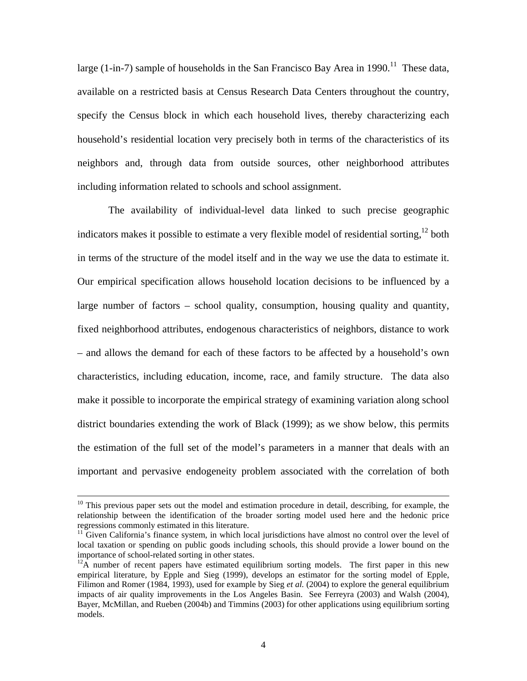large (1-in-7) sample of households in the San Francisco Bay Area in 1990.<sup>11</sup> These data, available on a restricted basis at Census Research Data Centers throughout the country, specify the Census block in which each household lives, thereby characterizing each household's residential location very precisely both in terms of the characteristics of its neighbors and, through data from outside sources, other neighborhood attributes including information related to schools and school assignment.

The availability of individual-level data linked to such precise geographic indicators makes it possible to estimate a very flexible model of residential sorting,  $12$  both in terms of the structure of the model itself and in the way we use the data to estimate it. Our empirical specification allows household location decisions to be influenced by a large number of factors – school quality, consumption, housing quality and quantity, fixed neighborhood attributes, endogenous characteristics of neighbors, distance to work – and allows the demand for each of these factors to be affected by a household's own characteristics, including education, income, race, and family structure. The data also make it possible to incorporate the empirical strategy of examining variation along school district boundaries extending the work of Black (1999); as we show below, this permits the estimation of the full set of the model's parameters in a manner that deals with an important and pervasive endogeneity problem associated with the correlation of both

<sup>&</sup>lt;sup>10</sup> This previous paper sets out the model and estimation procedure in detail, describing, for example, the relationship between the identification of the broader sorting model used here and the hedonic price regressions commonly estimated in this literature.

 $11$  Given California's finance system, in which local jurisdictions have almost no control over the level of local taxation or spending on public goods including schools, this should provide a lower bound on the importance of school-related sorting in other states.

 $^{12}$ A number of recent papers have estimated equilibrium sorting models. The first paper in this new empirical literature, by Epple and Sieg (1999), develops an estimator for the sorting model of Epple, Filimon and Romer (1984, 1993), used for example by Sieg *et al.* (2004) to explore the general equilibrium impacts of air quality improvements in the Los Angeles Basin. See Ferreyra (2003) and Walsh (2004), Bayer, McMillan, and Rueben (2004b) and Timmins (2003) for other applications using equilibrium sorting models.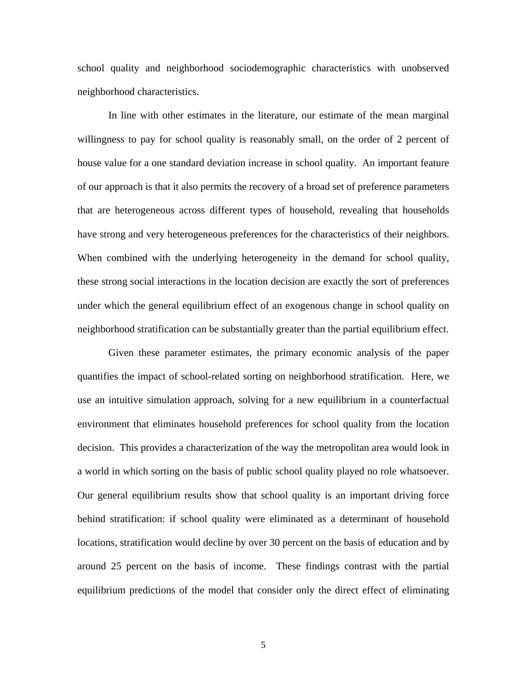school quality and neighborhood sociodemographic characteristics with unobserved neighborhood characteristics.

In line with other estimates in the literature, our estimate of the mean marginal willingness to pay for school quality is reasonably small, on the order of 2 percent of house value for a one standard deviation increase in school quality. An important feature of our approach is that it also permits the recovery of a broad set of preference parameters that are heterogeneous across different types of household, revealing that households have strong and very heterogeneous preferences for the characteristics of their neighbors. When combined with the underlying heterogeneity in the demand for school quality, these strong social interactions in the location decision are exactly the sort of preferences under which the general equilibrium effect of an exogenous change in school quality on neighborhood stratification can be substantially greater than the partial equilibrium effect.

Given these parameter estimates, the primary economic analysis of the paper quantifies the impact of school-related sorting on neighborhood stratification. Here, we use an intuitive simulation approach, solving for a new equilibrium in a counterfactual environment that eliminates household preferences for school quality from the location decision. This provides a characterization of the way the metropolitan area would look in a world in which sorting on the basis of public school quality played no role whatsoever. Our general equilibrium results show that school quality is an important driving force behind stratification: if school quality were eliminated as a determinant of household locations, stratification would decline by over 30 percent on the basis of education and by around 25 percent on the basis of income. These findings contrast with the partial equilibrium predictions of the model that consider only the direct effect of eliminating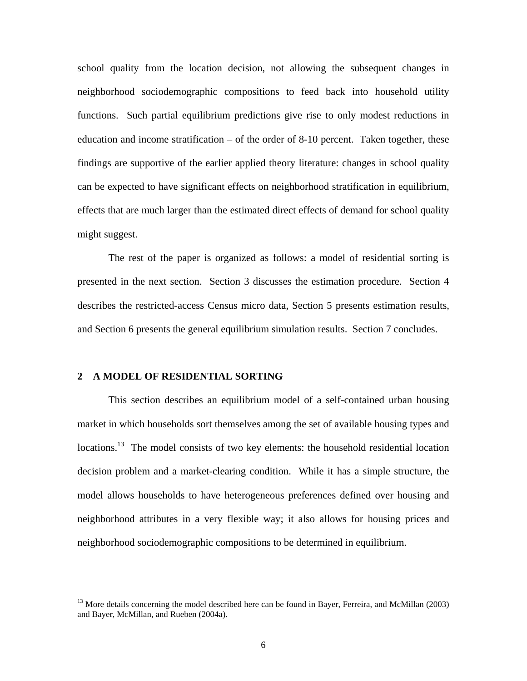school quality from the location decision, not allowing the subsequent changes in neighborhood sociodemographic compositions to feed back into household utility functions. Such partial equilibrium predictions give rise to only modest reductions in education and income stratification – of the order of 8-10 percent. Taken together, these findings are supportive of the earlier applied theory literature: changes in school quality can be expected to have significant effects on neighborhood stratification in equilibrium, effects that are much larger than the estimated direct effects of demand for school quality might suggest.

The rest of the paper is organized as follows: a model of residential sorting is presented in the next section. Section 3 discusses the estimation procedure. Section 4 describes the restricted-access Census micro data, Section 5 presents estimation results, and Section 6 presents the general equilibrium simulation results. Section 7 concludes.

# **2 A MODEL OF RESIDENTIAL SORTING**

l

This section describes an equilibrium model of a self-contained urban housing market in which households sort themselves among the set of available housing types and locations.<sup>13</sup> The model consists of two key elements: the household residential location decision problem and a market-clearing condition. While it has a simple structure, the model allows households to have heterogeneous preferences defined over housing and neighborhood attributes in a very flexible way; it also allows for housing prices and neighborhood sociodemographic compositions to be determined in equilibrium.

<sup>&</sup>lt;sup>13</sup> More details concerning the model described here can be found in Bayer, Ferreira, and McMillan (2003) and Bayer, McMillan, and Rueben (2004a).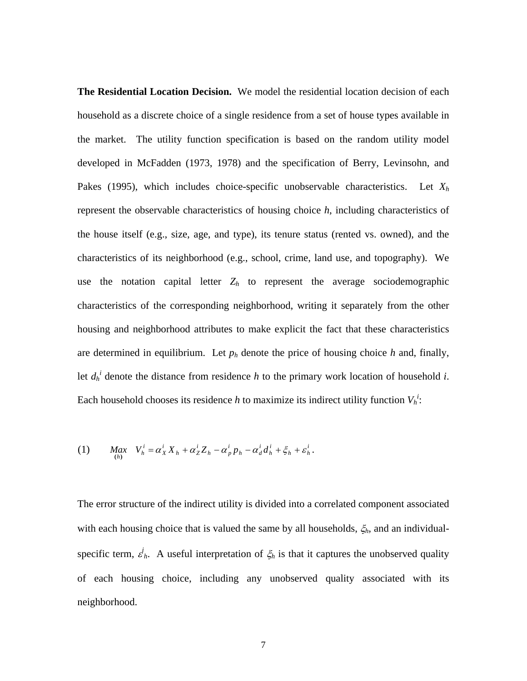**The Residential Location Decision.**We model the residential location decision of each household as a discrete choice of a single residence from a set of house types available in the market. The utility function specification is based on the random utility model developed in McFadden (1973, 1978) and the specification of Berry, Levinsohn, and Pakes (1995), which includes choice-specific unobservable characteristics. Let *Xh* represent the observable characteristics of housing choice *h*, including characteristics of the house itself (e.g., size, age, and type), its tenure status (rented vs. owned), and the characteristics of its neighborhood (e.g., school, crime, land use, and topography). We use the notation capital letter  $Z_h$  to represent the average sociodemographic characteristics of the corresponding neighborhood, writing it separately from the other housing and neighborhood attributes to make explicit the fact that these characteristics are determined in equilibrium. Let  $p_h$  denote the price of housing choice  $h$  and, finally, let  $d_h^i$  denote the distance from residence *h* to the primary work location of household *i*. Each household chooses its residence *h* to maximize its indirect utility function  $V_h^i$ :

(1) 
$$
Max_{(h)} V_h^i = \alpha_X^i X_h + \alpha_Z^i Z_h - \alpha_p^i p_h - \alpha_d^i d_h^i + \xi_h + \varepsilon_h^i.
$$

The error structure of the indirect utility is divided into a correlated component associated with each housing choice that is valued the same by all households, ξ*h*, and an individualspecific term,  $\epsilon^i_h$ . A useful interpretation of  $\xi_h$  is that it captures the unobserved quality of each housing choice, including any unobserved quality associated with its neighborhood.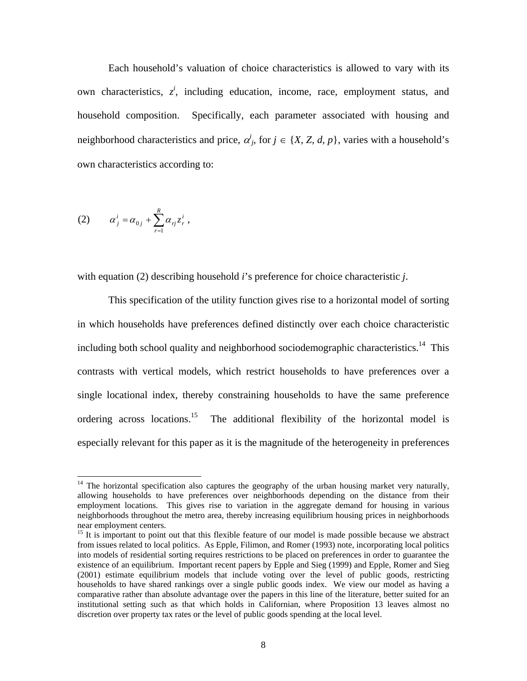Each household's valuation of choice characteristics is allowed to vary with its own characteristics,  $z^i$ , including education, income, race, employment status, and household composition. Specifically, each parameter associated with housing and neighborhood characteristics and price,  $\alpha_j^i$ , for  $j \in \{X, Z, d, p\}$ , varies with a household's own characteristics according to:

$$
(2) \qquad \alpha_j^i = \alpha_{0j} + \sum_{r=1}^R \alpha_{rj} z_r^i \,,
$$

l

with equation (2) describing household *i*'s preference for choice characteristic *j*.

This specification of the utility function gives rise to a horizontal model of sorting in which households have preferences defined distinctly over each choice characteristic including both school quality and neighborhood sociodemographic characteristics.<sup>14</sup> This contrasts with vertical models, which restrict households to have preferences over a single locational index, thereby constraining households to have the same preference ordering across locations.<sup>15</sup> The additional flexibility of the horizontal model is especially relevant for this paper as it is the magnitude of the heterogeneity in preferences

 $14$  The horizontal specification also captures the geography of the urban housing market very naturally, allowing households to have preferences over neighborhoods depending on the distance from their employment locations. This gives rise to variation in the aggregate demand for housing in various neighborhoods throughout the metro area, thereby increasing equilibrium housing prices in neighborhoods near employment centers.

<sup>&</sup>lt;sup>15</sup> It is important to point out that this flexible feature of our model is made possible because we abstract from issues related to local politics. As Epple, Filimon, and Romer (1993) note, incorporating local politics into models of residential sorting requires restrictions to be placed on preferences in order to guarantee the existence of an equilibrium. Important recent papers by Epple and Sieg (1999) and Epple, Romer and Sieg (2001) estimate equilibrium models that include voting over the level of public goods, restricting households to have shared rankings over a single public goods index. We view our model as having a comparative rather than absolute advantage over the papers in this line of the literature, better suited for an institutional setting such as that which holds in Californian, where Proposition 13 leaves almost no discretion over property tax rates or the level of public goods spending at the local level.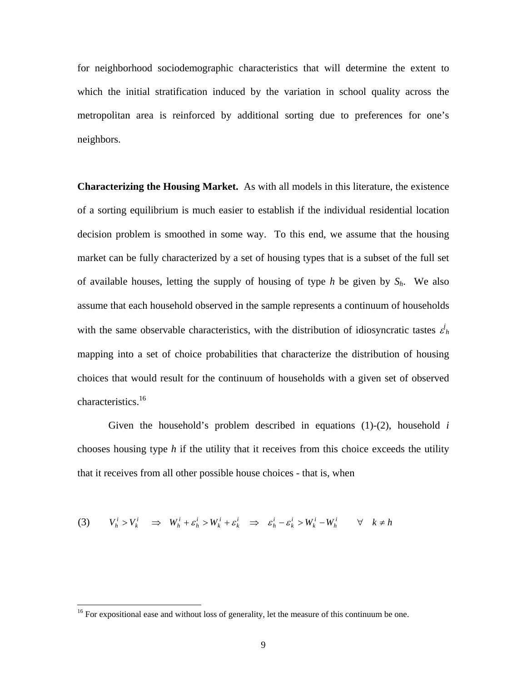for neighborhood sociodemographic characteristics that will determine the extent to which the initial stratification induced by the variation in school quality across the metropolitan area is reinforced by additional sorting due to preferences for one's neighbors.

**Characterizing the Housing Market.** As with all models in this literature, the existence of a sorting equilibrium is much easier to establish if the individual residential location decision problem is smoothed in some way. To this end, we assume that the housing market can be fully characterized by a set of housing types that is a subset of the full set of available houses, letting the supply of housing of type *h* be given by  $S_h$ . We also assume that each household observed in the sample represents a continuum of households with the same observable characteristics, with the distribution of idiosyncratic tastes  $\varepsilon_h^i$ mapping into a set of choice probabilities that characterize the distribution of housing choices that would result for the continuum of households with a given set of observed characteristics.<sup>16</sup>

Given the household's problem described in equations (1)-(2), household *i* chooses housing type *h* if the utility that it receives from this choice exceeds the utility that it receives from all other possible house choices - that is, when

$$
(3) \tVhi > Vki \Rightarrow Whi + \varepsilonhi > Wki + \varepsilonki \Rightarrow \varepsilonhi - \varepsilonki > Wki - Whi \forall k \neq h
$$

<sup>&</sup>lt;sup>16</sup> For expositional ease and without loss of generality, let the measure of this continuum be one.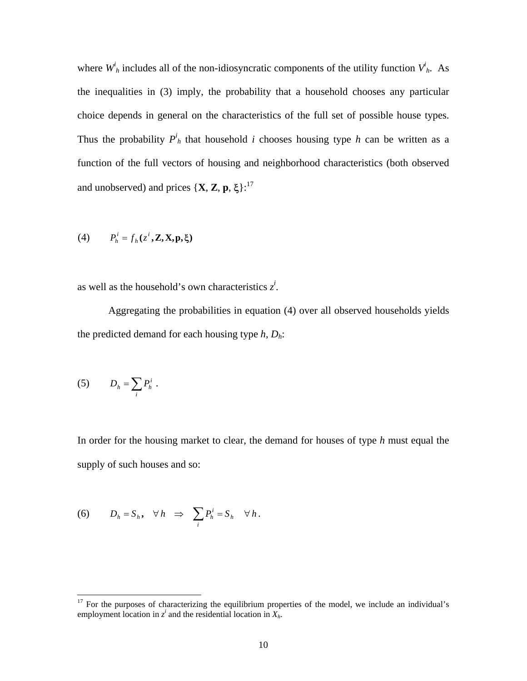where  $W_h^i$  includes all of the non-idiosyncratic components of the utility function  $V_h^i$ . As the inequalities in (3) imply, the probability that a household chooses any particular choice depends in general on the characteristics of the full set of possible house types. Thus the probability  $P^i$ <sub>h</sub> that household *i* chooses housing type *h* can be written as a function of the full vectors of housing and neighborhood characteristics (both observed and unobserved) and prices  $\{X, Z, p, \xi\}$ :<sup>17</sup>

(4) 
$$
P_h^i = f_h(z^i, \mathbf{Z}, \mathbf{X}, \mathbf{p}, \boldsymbol{\xi})
$$

as well as the household's own characteristics  $z^i$ .

Aggregating the probabilities in equation (4) over all observed households yields the predicted demand for each housing type *h*, *Dh*:

$$
(5) \t D_h = \sum_i P_h^i.
$$

l

In order for the housing market to clear, the demand for houses of type *h* must equal the supply of such houses and so:

(6) 
$$
D_h = S_h
$$
,  $\forall h \Rightarrow \sum_i P_h^i = S_h$   $\forall h$ .

 $17$  For the purposes of characterizing the equilibrium properties of the model, we include an individual's employment location in  $z^i$  and the residential location in  $X_h$ .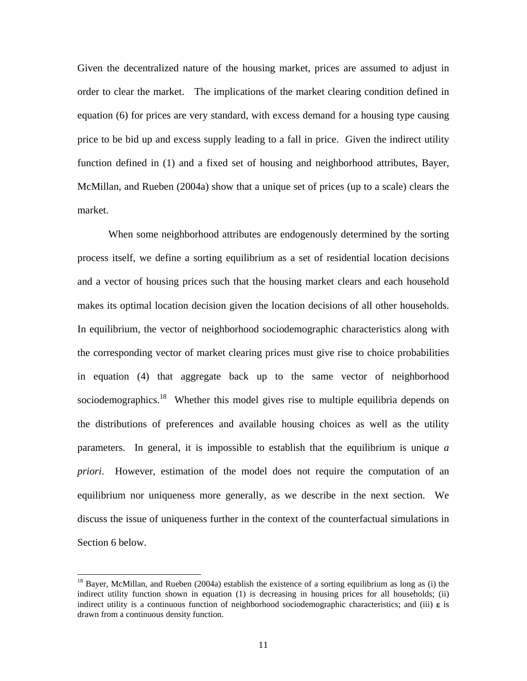Given the decentralized nature of the housing market, prices are assumed to adjust in order to clear the market. The implications of the market clearing condition defined in equation (6) for prices are very standard, with excess demand for a housing type causing price to be bid up and excess supply leading to a fall in price. Given the indirect utility function defined in (1) and a fixed set of housing and neighborhood attributes, Bayer, McMillan, and Rueben (2004a) show that a unique set of prices (up to a scale) clears the market.

When some neighborhood attributes are endogenously determined by the sorting process itself, we define a sorting equilibrium as a set of residential location decisions and a vector of housing prices such that the housing market clears and each household makes its optimal location decision given the location decisions of all other households. In equilibrium, the vector of neighborhood sociodemographic characteristics along with the corresponding vector of market clearing prices must give rise to choice probabilities in equation (4) that aggregate back up to the same vector of neighborhood sociodemographics.<sup>18</sup> Whether this model gives rise to multiple equilibria depends on the distributions of preferences and available housing choices as well as the utility parameters. In general, it is impossible to establish that the equilibrium is unique *a priori*. However, estimation of the model does not require the computation of an equilibrium nor uniqueness more generally, as we describe in the next section. We discuss the issue of uniqueness further in the context of the counterfactual simulations in Section 6 below.

 $18$  Bayer, McMillan, and Rueben (2004a) establish the existence of a sorting equilibrium as long as (i) the indirect utility function shown in equation (1) is decreasing in housing prices for all households; (ii) indirect utility is a continuous function of neighborhood sociodemographic characteristics; and (iii)  $\varepsilon$  is drawn from a continuous density function.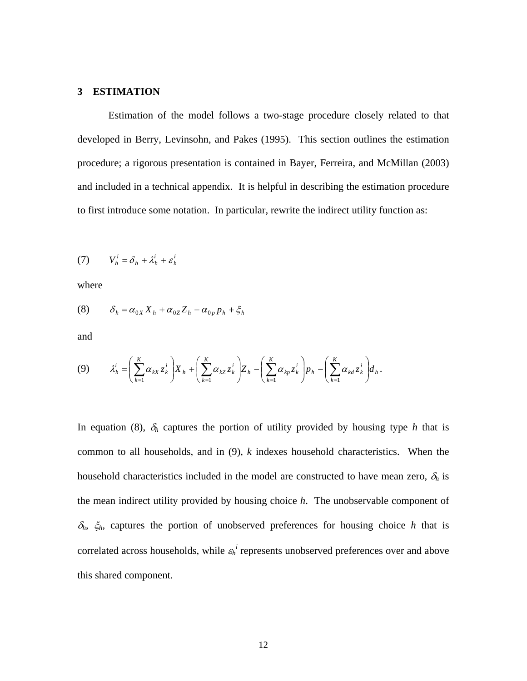# **3 ESTIMATION**

Estimation of the model follows a two-stage procedure closely related to that developed in Berry, Levinsohn, and Pakes (1995). This section outlines the estimation procedure; a rigorous presentation is contained in Bayer, Ferreira, and McMillan (2003) and included in a technical appendix. It is helpful in describing the estimation procedure to first introduce some notation. In particular, rewrite the indirect utility function as:

$$
(7) \tVhi = \deltah + \lambdahi + \varepsilonhi
$$

where

$$
(8) \qquad \delta_h = \alpha_{0X} X_h + \alpha_{0Z} Z_h - \alpha_{0p} p_h + \xi_h
$$

and

$$
(9) \qquad \lambda_h^i = \left(\sum_{k=1}^K \alpha_{kX} z_k^i\right) X_h + \left(\sum_{k=1}^K \alpha_{kZ} z_k^i\right) Z_h - \left(\sum_{k=1}^K \alpha_{kp} z_k^i\right) p_h - \left(\sum_{k=1}^K \alpha_{kd} z_k^i\right) d_h.
$$

In equation (8),  $\delta_h$  captures the portion of utility provided by housing type *h* that is common to all households, and in (9), *k* indexes household characteristics. When the household characteristics included in the model are constructed to have mean zero,  $\delta_h$  is the mean indirect utility provided by housing choice *h*. The unobservable component of <sup>δ</sup>*h*, ξ*h*, captures the portion of unobserved preferences for housing choice *h* that is correlated across households, while  $\varepsilon_h^i$  represents unobserved preferences over and above this shared component.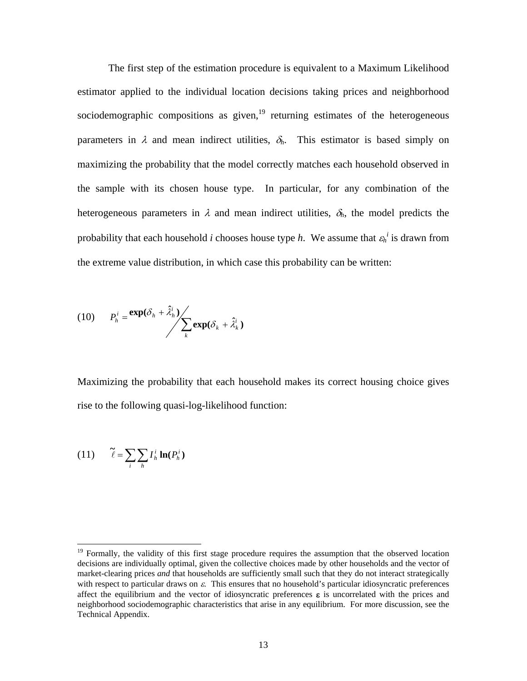The first step of the estimation procedure is equivalent to a Maximum Likelihood estimator applied to the individual location decisions taking prices and neighborhood sociodemographic compositions as given, $19$  returning estimates of the heterogeneous parameters in  $\lambda$  and mean indirect utilities,  $\delta_h$ . This estimator is based simply on maximizing the probability that the model correctly matches each household observed in the sample with its chosen house type. In particular, for any combination of the heterogeneous parameters in  $\lambda$  and mean indirect utilities,  $\delta_h$ , the model predicts the probability that each household *i* chooses house type *h*. We assume that  $\varepsilon_h^i$  is drawn from the extreme value distribution, in which case this probability can be written:

(10) 
$$
P_h^i = \frac{\exp(\delta_h + \hat{\lambda}_h^i)}{\sum_k \exp(\delta_k + \hat{\lambda}_k^i)}
$$

Maximizing the probability that each household makes its correct housing choice gives rise to the following quasi-log-likelihood function:

$$
(11) \qquad \tilde{\ell} = \sum_{i} \sum_{h} I_h^i \ln(P_h^i)
$$

<sup>&</sup>lt;sup>19</sup> Formally, the validity of this first stage procedure requires the assumption that the observed location decisions are individually optimal, given the collective choices made by other households and the vector of market-clearing prices *and* that households are sufficiently small such that they do not interact strategically with respect to particular draws on  $\varepsilon$ . This ensures that no household's particular idiosyncratic preferences affect the equilibrium and the vector of idiosyncratic preferences  $\varepsilon$  is uncorrelated with the prices and neighborhood sociodemographic characteristics that arise in any equilibrium. For more discussion, see the Technical Appendix.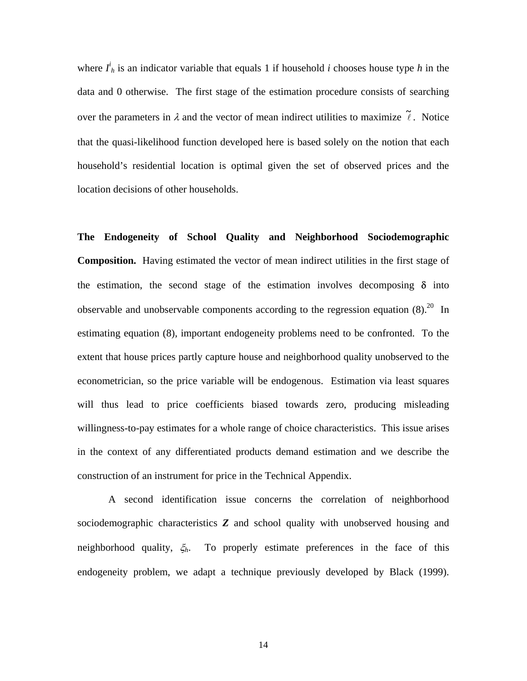where  $I<sup>i</sup><sub>h</sub>$  is an indicator variable that equals 1 if household *i* chooses house type *h* in the data and 0 otherwise. The first stage of the estimation procedure consists of searching over the parameters in  $\lambda$  and the vector of mean indirect utilities to maximize  $\tilde{\ell}$ . Notice that the quasi-likelihood function developed here is based solely on the notion that each household's residential location is optimal given the set of observed prices and the location decisions of other households.

**The Endogeneity of School Quality and Neighborhood Sociodemographic Composition.** Having estimated the vector of mean indirect utilities in the first stage of the estimation, the second stage of the estimation involves decomposing  $\delta$  into observable and unobservable components according to the regression equation  $(8)$ .<sup>20</sup> In estimating equation (8), important endogeneity problems need to be confronted. To the extent that house prices partly capture house and neighborhood quality unobserved to the econometrician, so the price variable will be endogenous. Estimation via least squares will thus lead to price coefficients biased towards zero, producing misleading willingness-to-pay estimates for a whole range of choice characteristics. This issue arises in the context of any differentiated products demand estimation and we describe the construction of an instrument for price in the Technical Appendix.

 A second identification issue concerns the correlation of neighborhood sociodemographic characteristics *Z* and school quality with unobserved housing and neighborhood quality, ξ*h*. To properly estimate preferences in the face of this endogeneity problem, we adapt a technique previously developed by Black (1999).

14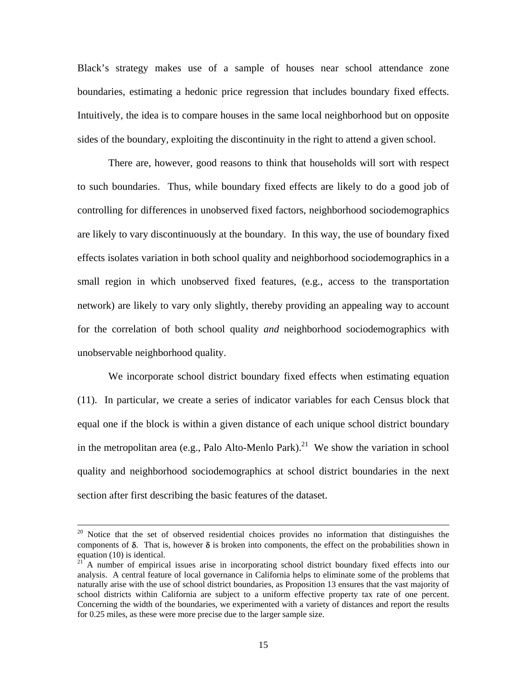Black's strategy makes use of a sample of houses near school attendance zone boundaries, estimating a hedonic price regression that includes boundary fixed effects. Intuitively, the idea is to compare houses in the same local neighborhood but on opposite sides of the boundary, exploiting the discontinuity in the right to attend a given school.

 There are, however, good reasons to think that households will sort with respect to such boundaries. Thus, while boundary fixed effects are likely to do a good job of controlling for differences in unobserved fixed factors, neighborhood sociodemographics are likely to vary discontinuously at the boundary. In this way, the use of boundary fixed effects isolates variation in both school quality and neighborhood sociodemographics in a small region in which unobserved fixed features, (e.g., access to the transportation network) are likely to vary only slightly, thereby providing an appealing way to account for the correlation of both school quality *and* neighborhood sociodemographics with unobservable neighborhood quality.

 We incorporate school district boundary fixed effects when estimating equation (11). In particular, we create a series of indicator variables for each Census block that equal one if the block is within a given distance of each unique school district boundary in the metropolitan area (e.g., Palo Alto-Menlo Park).<sup>21</sup> We show the variation in school quality and neighborhood sociodemographics at school district boundaries in the next section after first describing the basic features of the dataset.

<sup>&</sup>lt;sup>20</sup> Notice that the set of observed residential choices provides no information that distinguishes the components of  $\delta$ . That is, however  $\delta$  is broken into components, the effect on the probabilities shown in equation (10) is identical.

<sup>&</sup>lt;sup>21</sup> A number of empirical issues arise in incorporating school district boundary fixed effects into our analysis. A central feature of local governance in California helps to eliminate some of the problems that naturally arise with the use of school district boundaries, as Proposition 13 ensures that the vast majority of school districts within California are subject to a uniform effective property tax rate of one percent. Concerning the width of the boundaries, we experimented with a variety of distances and report the results for 0.25 miles, as these were more precise due to the larger sample size.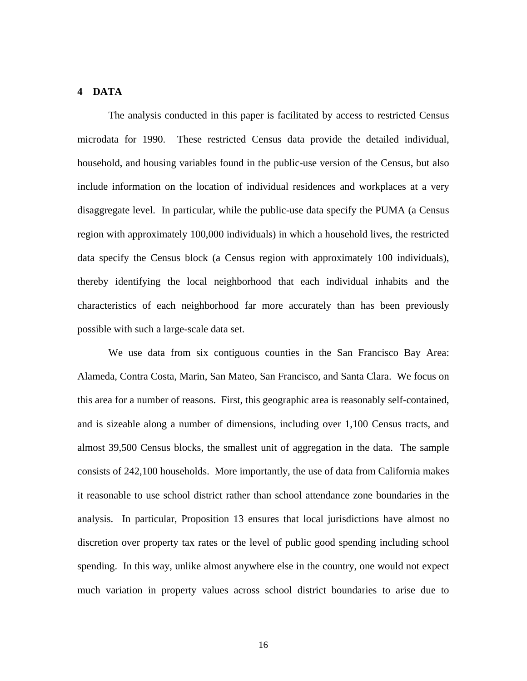# **4 DATA**

The analysis conducted in this paper is facilitated by access to restricted Census microdata for 1990. These restricted Census data provide the detailed individual, household, and housing variables found in the public-use version of the Census, but also include information on the location of individual residences and workplaces at a very disaggregate level. In particular, while the public-use data specify the PUMA (a Census region with approximately 100,000 individuals) in which a household lives, the restricted data specify the Census block (a Census region with approximately 100 individuals), thereby identifying the local neighborhood that each individual inhabits and the characteristics of each neighborhood far more accurately than has been previously possible with such a large-scale data set.

We use data from six contiguous counties in the San Francisco Bay Area: Alameda, Contra Costa, Marin, San Mateo, San Francisco, and Santa Clara. We focus on this area for a number of reasons. First, this geographic area is reasonably self-contained, and is sizeable along a number of dimensions, including over 1,100 Census tracts, and almost 39,500 Census blocks, the smallest unit of aggregation in the data. The sample consists of 242,100 households. More importantly, the use of data from California makes it reasonable to use school district rather than school attendance zone boundaries in the analysis. In particular, Proposition 13 ensures that local jurisdictions have almost no discretion over property tax rates or the level of public good spending including school spending. In this way, unlike almost anywhere else in the country, one would not expect much variation in property values across school district boundaries to arise due to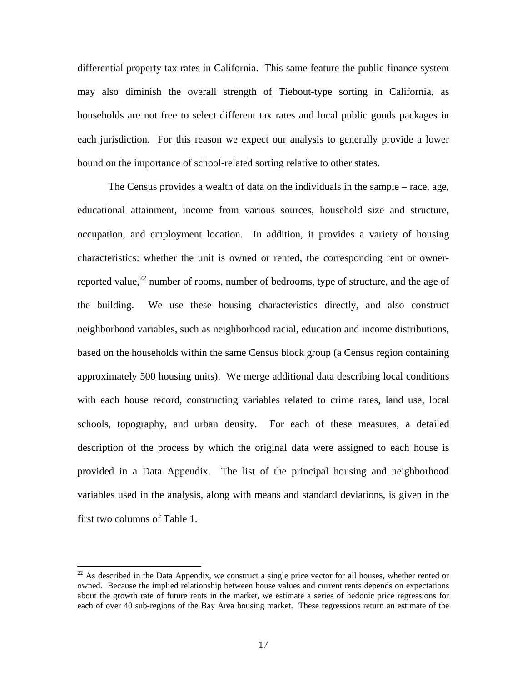differential property tax rates in California. This same feature the public finance system may also diminish the overall strength of Tiebout-type sorting in California, as households are not free to select different tax rates and local public goods packages in each jurisdiction. For this reason we expect our analysis to generally provide a lower bound on the importance of school-related sorting relative to other states.

The Census provides a wealth of data on the individuals in the sample – race, age, educational attainment, income from various sources, household size and structure, occupation, and employment location. In addition, it provides a variety of housing characteristics: whether the unit is owned or rented, the corresponding rent or ownerreported value,  $^{22}$  number of rooms, number of bedrooms, type of structure, and the age of the building. We use these housing characteristics directly, and also construct neighborhood variables, such as neighborhood racial, education and income distributions, based on the households within the same Census block group (a Census region containing approximately 500 housing units). We merge additional data describing local conditions with each house record, constructing variables related to crime rates, land use, local schools, topography, and urban density. For each of these measures, a detailed description of the process by which the original data were assigned to each house is provided in a Data Appendix. The list of the principal housing and neighborhood variables used in the analysis, along with means and standard deviations, is given in the first two columns of Table 1.

 $22$  As described in the Data Appendix, we construct a single price vector for all houses, whether rented or owned. Because the implied relationship between house values and current rents depends on expectations about the growth rate of future rents in the market, we estimate a series of hedonic price regressions for each of over 40 sub-regions of the Bay Area housing market. These regressions return an estimate of the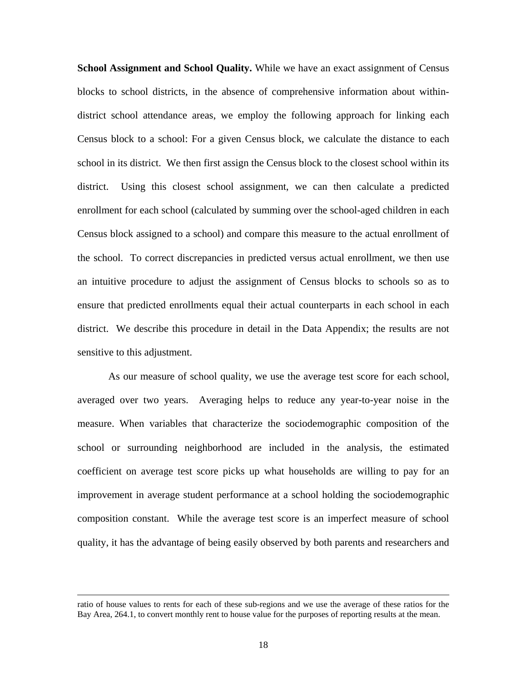**School Assignment and School Quality.** While we have an exact assignment of Census blocks to school districts, in the absence of comprehensive information about withindistrict school attendance areas, we employ the following approach for linking each Census block to a school: For a given Census block, we calculate the distance to each school in its district. We then first assign the Census block to the closest school within its district. Using this closest school assignment, we can then calculate a predicted enrollment for each school (calculated by summing over the school-aged children in each Census block assigned to a school) and compare this measure to the actual enrollment of the school. To correct discrepancies in predicted versus actual enrollment, we then use an intuitive procedure to adjust the assignment of Census blocks to schools so as to ensure that predicted enrollments equal their actual counterparts in each school in each district. We describe this procedure in detail in the Data Appendix; the results are not sensitive to this adjustment.

 As our measure of school quality, we use the average test score for each school, averaged over two years. Averaging helps to reduce any year-to-year noise in the measure. When variables that characterize the sociodemographic composition of the school or surrounding neighborhood are included in the analysis, the estimated coefficient on average test score picks up what households are willing to pay for an improvement in average student performance at a school holding the sociodemographic composition constant. While the average test score is an imperfect measure of school quality, it has the advantage of being easily observed by both parents and researchers and

ratio of house values to rents for each of these sub-regions and we use the average of these ratios for the Bay Area, 264.1, to convert monthly rent to house value for the purposes of reporting results at the mean.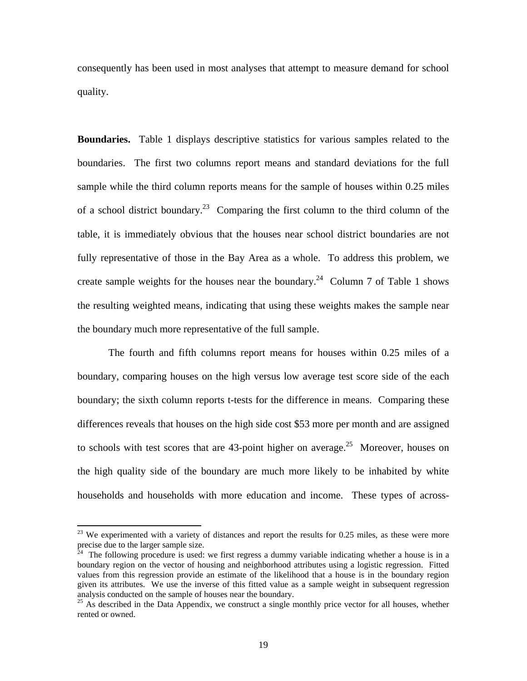consequently has been used in most analyses that attempt to measure demand for school quality.

**Boundaries.** Table 1 displays descriptive statistics for various samples related to the boundaries. The first two columns report means and standard deviations for the full sample while the third column reports means for the sample of houses within 0.25 miles of a school district boundary.<sup>23</sup> Comparing the first column to the third column of the table, it is immediately obvious that the houses near school district boundaries are not fully representative of those in the Bay Area as a whole. To address this problem, we create sample weights for the houses near the boundary.<sup>24</sup> Column 7 of Table 1 shows the resulting weighted means, indicating that using these weights makes the sample near the boundary much more representative of the full sample.

 The fourth and fifth columns report means for houses within 0.25 miles of a boundary, comparing houses on the high versus low average test score side of the each boundary; the sixth column reports t-tests for the difference in means. Comparing these differences reveals that houses on the high side cost \$53 more per month and are assigned to schools with test scores that are 43-point higher on average.<sup>25</sup> Moreover, houses on the high quality side of the boundary are much more likely to be inhabited by white households and households with more education and income. These types of across-

 $2<sup>23</sup>$  We experimented with a variety of distances and report the results for 0.25 miles, as these were more precise due to the larger sample size.

The following procedure is used: we first regress a dummy variable indicating whether a house is in a boundary region on the vector of housing and neighborhood attributes using a logistic regression. Fitted values from this regression provide an estimate of the likelihood that a house is in the boundary region given its attributes. We use the inverse of this fitted value as a sample weight in subsequent regression analysis conducted on the sample of houses near the boundary.

<sup>&</sup>lt;sup>25</sup> As described in the Data Appendix, we construct a single monthly price vector for all houses, whether rented or owned.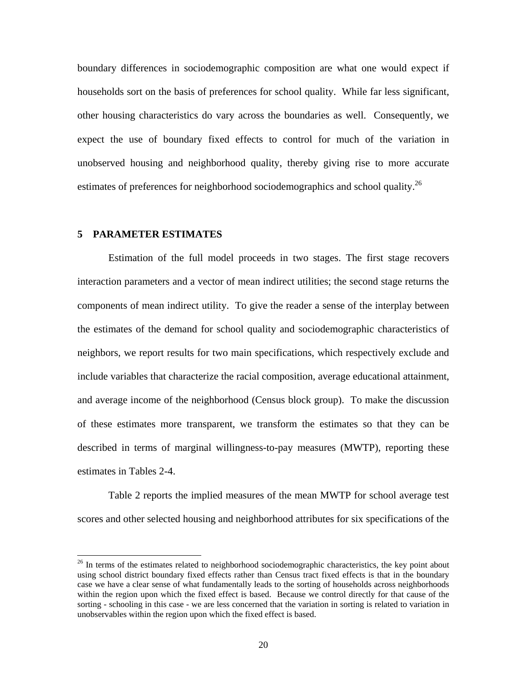boundary differences in sociodemographic composition are what one would expect if households sort on the basis of preferences for school quality. While far less significant, other housing characteristics do vary across the boundaries as well. Consequently, we expect the use of boundary fixed effects to control for much of the variation in unobserved housing and neighborhood quality, thereby giving rise to more accurate estimates of preferences for neighborhood sociodemographics and school quality.<sup>26</sup>

# **5 PARAMETER ESTIMATES**

l

 Estimation of the full model proceeds in two stages. The first stage recovers interaction parameters and a vector of mean indirect utilities; the second stage returns the components of mean indirect utility. To give the reader a sense of the interplay between the estimates of the demand for school quality and sociodemographic characteristics of neighbors, we report results for two main specifications, which respectively exclude and include variables that characterize the racial composition, average educational attainment, and average income of the neighborhood (Census block group). To make the discussion of these estimates more transparent, we transform the estimates so that they can be described in terms of marginal willingness-to-pay measures (MWTP), reporting these estimates in Tables 2-4.

 Table 2 reports the implied measures of the mean MWTP for school average test scores and other selected housing and neighborhood attributes for six specifications of the

 $26$  In terms of the estimates related to neighborhood sociodemographic characteristics, the key point about using school district boundary fixed effects rather than Census tract fixed effects is that in the boundary case we have a clear sense of what fundamentally leads to the sorting of households across neighborhoods within the region upon which the fixed effect is based. Because we control directly for that cause of the sorting - schooling in this case - we are less concerned that the variation in sorting is related to variation in unobservables within the region upon which the fixed effect is based.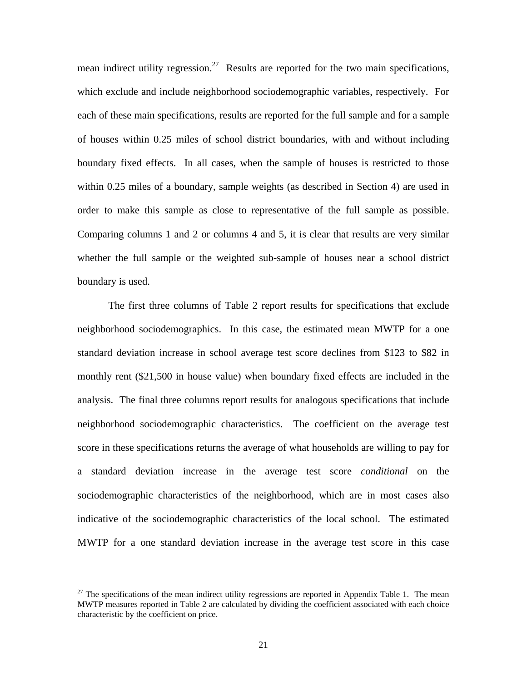mean indirect utility regression.<sup>27</sup> Results are reported for the two main specifications, which exclude and include neighborhood sociodemographic variables, respectively. For each of these main specifications, results are reported for the full sample and for a sample of houses within 0.25 miles of school district boundaries, with and without including boundary fixed effects. In all cases, when the sample of houses is restricted to those within 0.25 miles of a boundary, sample weights (as described in Section 4) are used in order to make this sample as close to representative of the full sample as possible. Comparing columns 1 and 2 or columns 4 and 5, it is clear that results are very similar whether the full sample or the weighted sub-sample of houses near a school district boundary is used.

The first three columns of Table 2 report results for specifications that exclude neighborhood sociodemographics. In this case, the estimated mean MWTP for a one standard deviation increase in school average test score declines from \$123 to \$82 in monthly rent (\$21,500 in house value) when boundary fixed effects are included in the analysis. The final three columns report results for analogous specifications that include neighborhood sociodemographic characteristics. The coefficient on the average test score in these specifications returns the average of what households are willing to pay for a standard deviation increase in the average test score *conditional* on the sociodemographic characteristics of the neighborhood, which are in most cases also indicative of the sociodemographic characteristics of the local school. The estimated MWTP for a one standard deviation increase in the average test score in this case

 $27$  The specifications of the mean indirect utility regressions are reported in Appendix Table 1. The mean MWTP measures reported in Table 2 are calculated by dividing the coefficient associated with each choice characteristic by the coefficient on price.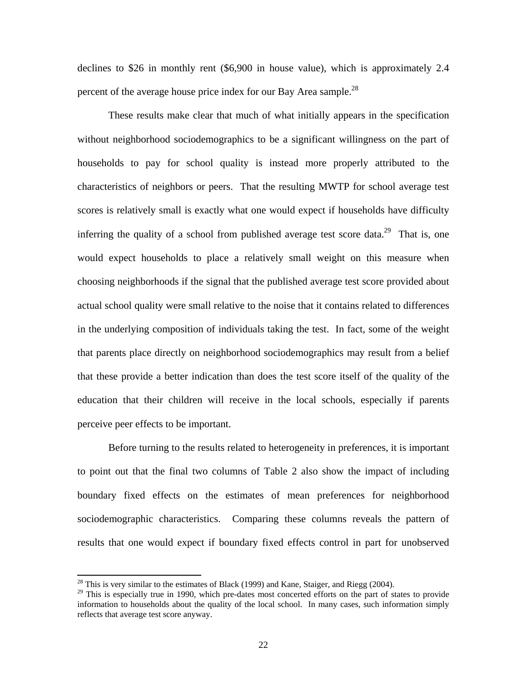declines to \$26 in monthly rent (\$6,900 in house value), which is approximately 2.4 percent of the average house price index for our Bay Area sample.<sup>28</sup>

These results make clear that much of what initially appears in the specification without neighborhood sociodemographics to be a significant willingness on the part of households to pay for school quality is instead more properly attributed to the characteristics of neighbors or peers. That the resulting MWTP for school average test scores is relatively small is exactly what one would expect if households have difficulty inferring the quality of a school from published average test score data.<sup>29</sup> That is, one would expect households to place a relatively small weight on this measure when choosing neighborhoods if the signal that the published average test score provided about actual school quality were small relative to the noise that it contains related to differences in the underlying composition of individuals taking the test. In fact, some of the weight that parents place directly on neighborhood sociodemographics may result from a belief that these provide a better indication than does the test score itself of the quality of the education that their children will receive in the local schools, especially if parents perceive peer effects to be important.

Before turning to the results related to heterogeneity in preferences, it is important to point out that the final two columns of Table 2 also show the impact of including boundary fixed effects on the estimates of mean preferences for neighborhood sociodemographic characteristics. Comparing these columns reveals the pattern of results that one would expect if boundary fixed effects control in part for unobserved

<sup>&</sup>lt;sup>28</sup> This is very similar to the estimates of Black (1999) and Kane, Staiger, and Riegg (2004).

<sup>&</sup>lt;sup>29</sup> This is especially true in 1990, which pre-dates most concerted efforts on the part of states to provide information to households about the quality of the local school. In many cases, such information simply reflects that average test score anyway.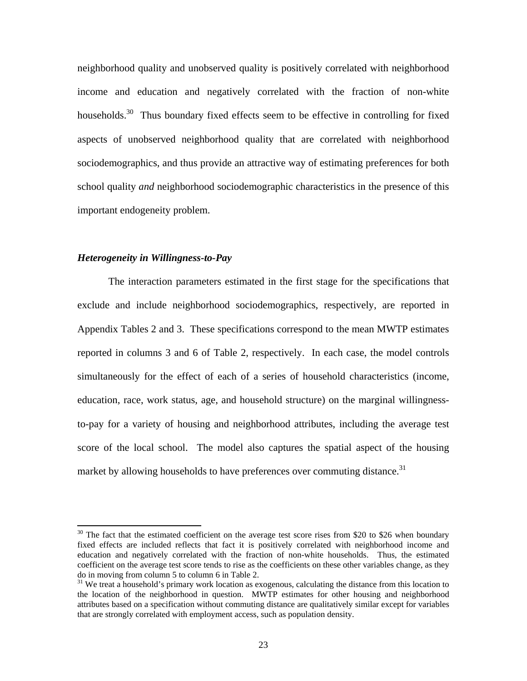neighborhood quality and unobserved quality is positively correlated with neighborhood income and education and negatively correlated with the fraction of non-white households.<sup>30</sup> Thus boundary fixed effects seem to be effective in controlling for fixed aspects of unobserved neighborhood quality that are correlated with neighborhood sociodemographics, and thus provide an attractive way of estimating preferences for both school quality *and* neighborhood sociodemographic characteristics in the presence of this important endogeneity problem.

# *Heterogeneity in Willingness-to-Pay*

l

 The interaction parameters estimated in the first stage for the specifications that exclude and include neighborhood sociodemographics, respectively, are reported in Appendix Tables 2 and 3. These specifications correspond to the mean MWTP estimates reported in columns 3 and 6 of Table 2, respectively. In each case, the model controls simultaneously for the effect of each of a series of household characteristics (income, education, race, work status, age, and household structure) on the marginal willingnessto-pay for a variety of housing and neighborhood attributes, including the average test score of the local school. The model also captures the spatial aspect of the housing market by allowing households to have preferences over commuting distance.<sup>31</sup>

 $30$  The fact that the estimated coefficient on the average test score rises from \$20 to \$26 when boundary fixed effects are included reflects that fact it is positively correlated with neighborhood income and education and negatively correlated with the fraction of non-white households. Thus, the estimated coefficient on the average test score tends to rise as the coefficients on these other variables change, as they do in moving from column 5 to column 6 in Table 2.

 $31$  We treat a household's primary work location as exogenous, calculating the distance from this location to the location of the neighborhood in question. MWTP estimates for other housing and neighborhood attributes based on a specification without commuting distance are qualitatively similar except for variables that are strongly correlated with employment access, such as population density.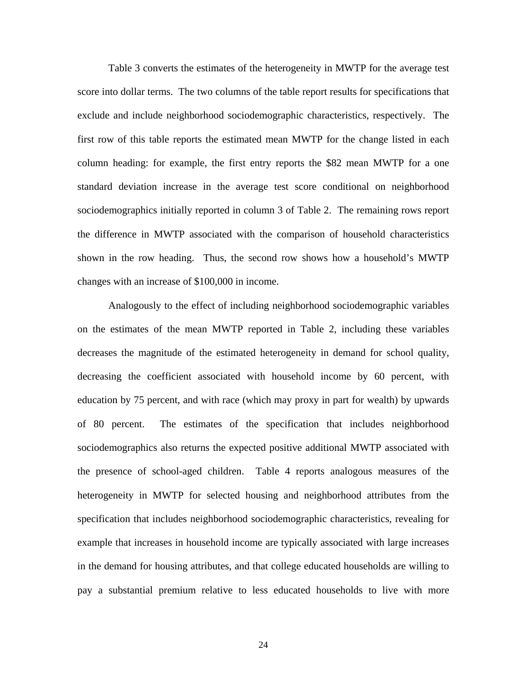Table 3 converts the estimates of the heterogeneity in MWTP for the average test score into dollar terms. The two columns of the table report results for specifications that exclude and include neighborhood sociodemographic characteristics, respectively. The first row of this table reports the estimated mean MWTP for the change listed in each column heading: for example, the first entry reports the \$82 mean MWTP for a one standard deviation increase in the average test score conditional on neighborhood sociodemographics initially reported in column 3 of Table 2. The remaining rows report the difference in MWTP associated with the comparison of household characteristics shown in the row heading. Thus, the second row shows how a household's MWTP changes with an increase of \$100,000 in income.

 Analogously to the effect of including neighborhood sociodemographic variables on the estimates of the mean MWTP reported in Table 2, including these variables decreases the magnitude of the estimated heterogeneity in demand for school quality, decreasing the coefficient associated with household income by 60 percent, with education by 75 percent, and with race (which may proxy in part for wealth) by upwards of 80 percent. The estimates of the specification that includes neighborhood sociodemographics also returns the expected positive additional MWTP associated with the presence of school-aged children. Table 4 reports analogous measures of the heterogeneity in MWTP for selected housing and neighborhood attributes from the specification that includes neighborhood sociodemographic characteristics, revealing for example that increases in household income are typically associated with large increases in the demand for housing attributes, and that college educated households are willing to pay a substantial premium relative to less educated households to live with more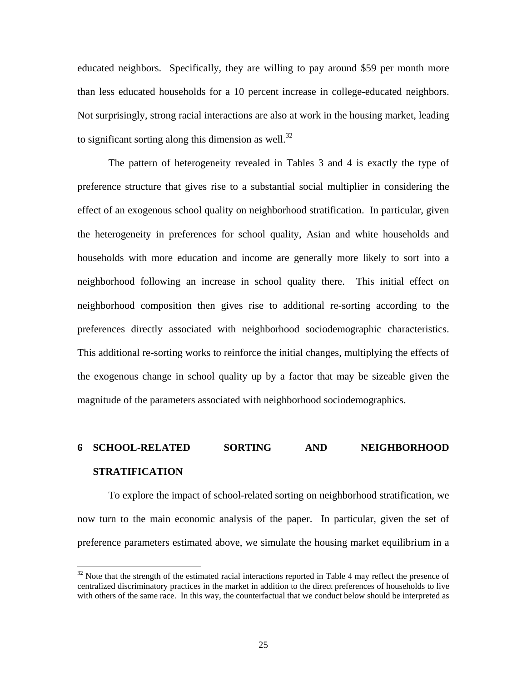educated neighbors. Specifically, they are willing to pay around \$59 per month more than less educated households for a 10 percent increase in college-educated neighbors. Not surprisingly, strong racial interactions are also at work in the housing market, leading to significant sorting along this dimension as well. $32$ 

 The pattern of heterogeneity revealed in Tables 3 and 4 is exactly the type of preference structure that gives rise to a substantial social multiplier in considering the effect of an exogenous school quality on neighborhood stratification. In particular, given the heterogeneity in preferences for school quality, Asian and white households and households with more education and income are generally more likely to sort into a neighborhood following an increase in school quality there. This initial effect on neighborhood composition then gives rise to additional re-sorting according to the preferences directly associated with neighborhood sociodemographic characteristics. This additional re-sorting works to reinforce the initial changes, multiplying the effects of the exogenous change in school quality up by a factor that may be sizeable given the magnitude of the parameters associated with neighborhood sociodemographics.

# **6 SCHOOL-RELATED SORTING AND NEIGHBORHOOD STRATIFICATION**

 To explore the impact of school-related sorting on neighborhood stratification, we now turn to the main economic analysis of the paper. In particular, given the set of preference parameters estimated above, we simulate the housing market equilibrium in a

 $32$  Note that the strength of the estimated racial interactions reported in Table 4 may reflect the presence of centralized discriminatory practices in the market in addition to the direct preferences of households to live with others of the same race. In this way, the counterfactual that we conduct below should be interpreted as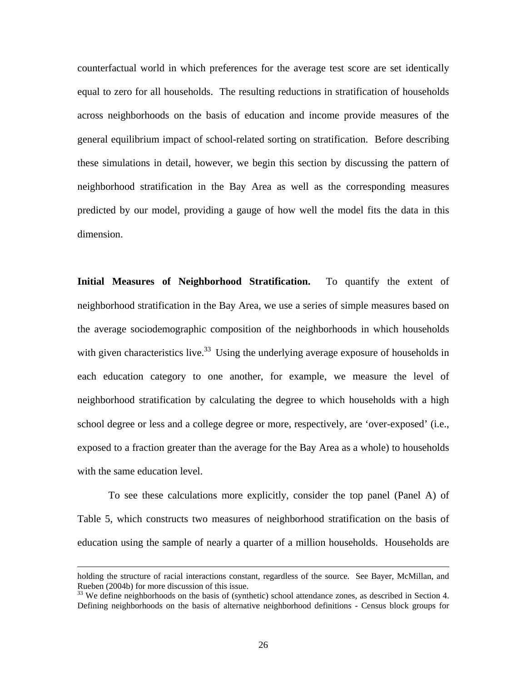counterfactual world in which preferences for the average test score are set identically equal to zero for all households. The resulting reductions in stratification of households across neighborhoods on the basis of education and income provide measures of the general equilibrium impact of school-related sorting on stratification. Before describing these simulations in detail, however, we begin this section by discussing the pattern of neighborhood stratification in the Bay Area as well as the corresponding measures predicted by our model, providing a gauge of how well the model fits the data in this dimension.

**Initial Measures of Neighborhood Stratification.** To quantify the extent of neighborhood stratification in the Bay Area, we use a series of simple measures based on the average sociodemographic composition of the neighborhoods in which households with given characteristics live.<sup>33</sup> Using the underlying average exposure of households in each education category to one another, for example, we measure the level of neighborhood stratification by calculating the degree to which households with a high school degree or less and a college degree or more, respectively, are 'over-exposed' (i.e., exposed to a fraction greater than the average for the Bay Area as a whole) to households with the same education level.

 To see these calculations more explicitly, consider the top panel (Panel A) of Table 5, which constructs two measures of neighborhood stratification on the basis of education using the sample of nearly a quarter of a million households. Households are

holding the structure of racial interactions constant, regardless of the source. See Bayer, McMillan, and Rueben (2004b) for more discussion of this issue.

<sup>&</sup>lt;sup>33</sup> We define neighborhoods on the basis of (synthetic) school attendance zones, as described in Section 4. Defining neighborhoods on the basis of alternative neighborhood definitions - Census block groups for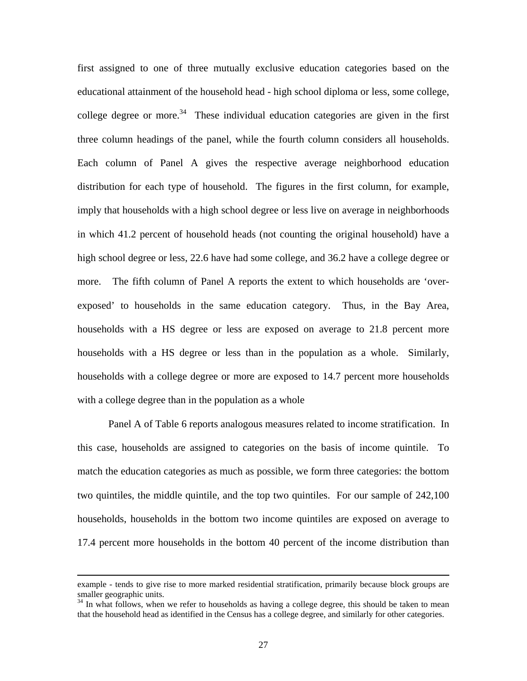first assigned to one of three mutually exclusive education categories based on the educational attainment of the household head - high school diploma or less, some college, college degree or more.<sup>34</sup> These individual education categories are given in the first three column headings of the panel, while the fourth column considers all households. Each column of Panel A gives the respective average neighborhood education distribution for each type of household. The figures in the first column, for example, imply that households with a high school degree or less live on average in neighborhoods in which 41.2 percent of household heads (not counting the original household) have a high school degree or less, 22.6 have had some college, and 36.2 have a college degree or more. The fifth column of Panel A reports the extent to which households are 'overexposed' to households in the same education category. Thus, in the Bay Area, households with a HS degree or less are exposed on average to 21.8 percent more households with a HS degree or less than in the population as a whole. Similarly, households with a college degree or more are exposed to 14.7 percent more households with a college degree than in the population as a whole

Panel A of Table 6 reports analogous measures related to income stratification. In this case, households are assigned to categories on the basis of income quintile. To match the education categories as much as possible, we form three categories: the bottom two quintiles, the middle quintile, and the top two quintiles. For our sample of 242,100 households, households in the bottom two income quintiles are exposed on average to 17.4 percent more households in the bottom 40 percent of the income distribution than

example - tends to give rise to more marked residential stratification, primarily because block groups are smaller geographic units.

 $34$  In what follows, when we refer to households as having a college degree, this should be taken to mean that the household head as identified in the Census has a college degree, and similarly for other categories.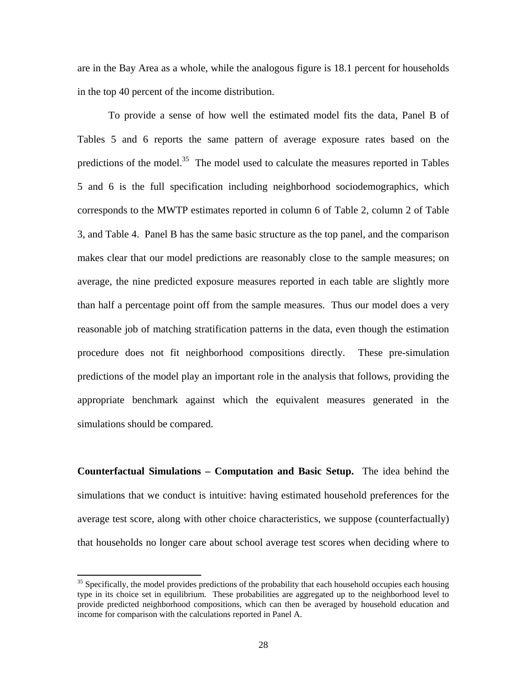are in the Bay Area as a whole, while the analogous figure is 18.1 percent for households in the top 40 percent of the income distribution.

To provide a sense of how well the estimated model fits the data, Panel B of Tables 5 and 6 reports the same pattern of average exposure rates based on the predictions of the model.<sup>35</sup> The model used to calculate the measures reported in Tables 5 and 6 is the full specification including neighborhood sociodemographics, which corresponds to the MWTP estimates reported in column 6 of Table 2, column 2 of Table 3, and Table 4. Panel B has the same basic structure as the top panel, and the comparison makes clear that our model predictions are reasonably close to the sample measures; on average, the nine predicted exposure measures reported in each table are slightly more than half a percentage point off from the sample measures. Thus our model does a very reasonable job of matching stratification patterns in the data, even though the estimation procedure does not fit neighborhood compositions directly. These pre-simulation predictions of the model play an important role in the analysis that follows, providing the appropriate benchmark against which the equivalent measures generated in the simulations should be compared.

**Counterfactual Simulations – Computation and Basic Setup.**The idea behind the simulations that we conduct is intuitive: having estimated household preferences for the average test score, along with other choice characteristics, we suppose (counterfactually) that households no longer care about school average test scores when deciding where to

 $35$  Specifically, the model provides predictions of the probability that each household occupies each housing type in its choice set in equilibrium. These probabilities are aggregated up to the neighborhood level to provide predicted neighborhood compositions, which can then be averaged by household education and income for comparison with the calculations reported in Panel A.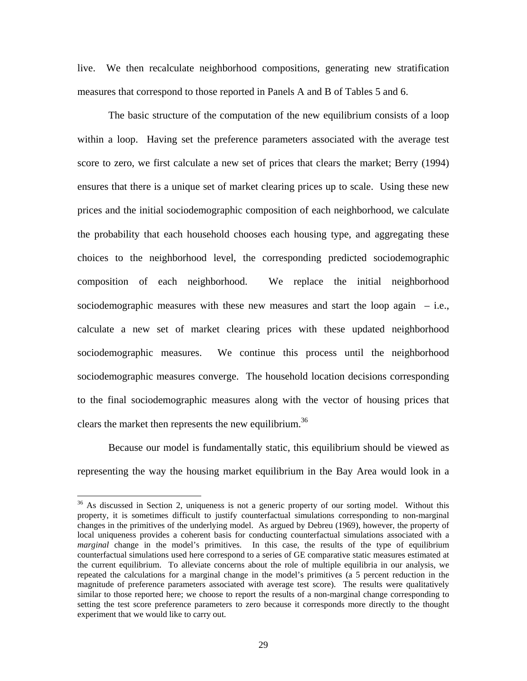live. We then recalculate neighborhood compositions, generating new stratification measures that correspond to those reported in Panels A and B of Tables 5 and 6.

The basic structure of the computation of the new equilibrium consists of a loop within a loop. Having set the preference parameters associated with the average test score to zero, we first calculate a new set of prices that clears the market; Berry (1994) ensures that there is a unique set of market clearing prices up to scale. Using these new prices and the initial sociodemographic composition of each neighborhood, we calculate the probability that each household chooses each housing type, and aggregating these choices to the neighborhood level, the corresponding predicted sociodemographic composition of each neighborhood. We replace the initial neighborhood sociodemographic measures with these new measures and start the loop again  $-$  i.e., calculate a new set of market clearing prices with these updated neighborhood sociodemographic measures. We continue this process until the neighborhood sociodemographic measures converge. The household location decisions corresponding to the final sociodemographic measures along with the vector of housing prices that clears the market then represents the new equilibrium.<sup>36</sup>

 Because our model is fundamentally static, this equilibrium should be viewed as representing the way the housing market equilibrium in the Bay Area would look in a

<sup>&</sup>lt;sup>36</sup> As discussed in Section 2, uniqueness is not a generic property of our sorting model. Without this property, it is sometimes difficult to justify counterfactual simulations corresponding to non-marginal changes in the primitives of the underlying model. As argued by Debreu (1969), however, the property of local uniqueness provides a coherent basis for conducting counterfactual simulations associated with a *marginal* change in the model's primitives. In this case, the results of the type of equilibrium counterfactual simulations used here correspond to a series of GE comparative static measures estimated at the current equilibrium. To alleviate concerns about the role of multiple equilibria in our analysis, we repeated the calculations for a marginal change in the model's primitives (a 5 percent reduction in the magnitude of preference parameters associated with average test score). The results were qualitatively similar to those reported here; we choose to report the results of a non-marginal change corresponding to setting the test score preference parameters to zero because it corresponds more directly to the thought experiment that we would like to carry out.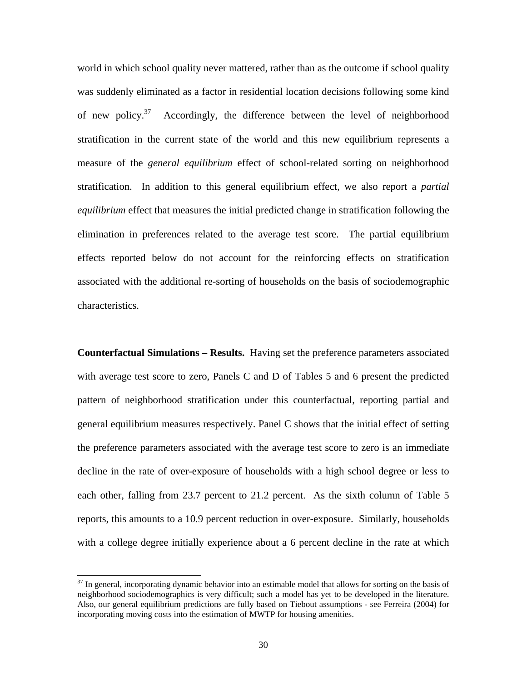world in which school quality never mattered, rather than as the outcome if school quality was suddenly eliminated as a factor in residential location decisions following some kind of new policy.<sup>37</sup> Accordingly, the difference between the level of neighborhood stratification in the current state of the world and this new equilibrium represents a measure of the *general equilibrium* effect of school-related sorting on neighborhood stratification. In addition to this general equilibrium effect, we also report a *partial equilibrium* effect that measures the initial predicted change in stratification following the elimination in preferences related to the average test score. The partial equilibrium effects reported below do not account for the reinforcing effects on stratification associated with the additional re-sorting of households on the basis of sociodemographic characteristics.

**Counterfactual Simulations – Results.** Having set the preference parameters associated with average test score to zero, Panels C and D of Tables 5 and 6 present the predicted pattern of neighborhood stratification under this counterfactual, reporting partial and general equilibrium measures respectively. Panel C shows that the initial effect of setting the preference parameters associated with the average test score to zero is an immediate decline in the rate of over-exposure of households with a high school degree or less to each other, falling from 23.7 percent to 21.2 percent. As the sixth column of Table 5 reports, this amounts to a 10.9 percent reduction in over-exposure. Similarly, households with a college degree initially experience about a 6 percent decline in the rate at which

 $37$  In general, incorporating dynamic behavior into an estimable model that allows for sorting on the basis of neighborhood sociodemographics is very difficult; such a model has yet to be developed in the literature. Also, our general equilibrium predictions are fully based on Tiebout assumptions - see Ferreira (2004) for incorporating moving costs into the estimation of MWTP for housing amenities.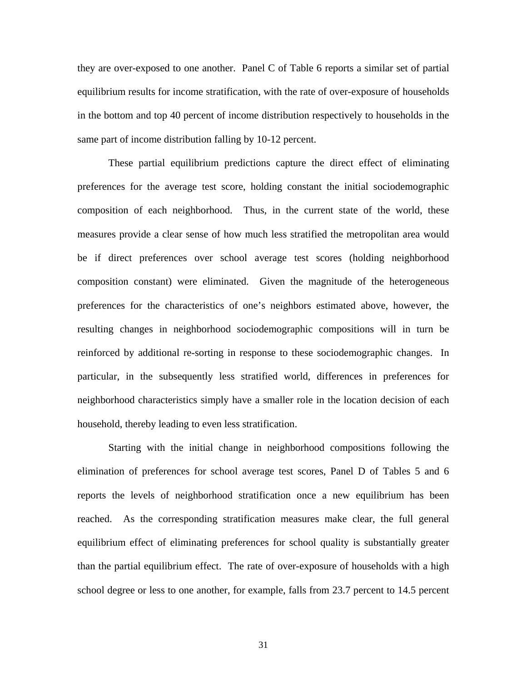they are over-exposed to one another. Panel C of Table 6 reports a similar set of partial equilibrium results for income stratification, with the rate of over-exposure of households in the bottom and top 40 percent of income distribution respectively to households in the same part of income distribution falling by 10-12 percent.

 These partial equilibrium predictions capture the direct effect of eliminating preferences for the average test score, holding constant the initial sociodemographic composition of each neighborhood. Thus, in the current state of the world, these measures provide a clear sense of how much less stratified the metropolitan area would be if direct preferences over school average test scores (holding neighborhood composition constant) were eliminated. Given the magnitude of the heterogeneous preferences for the characteristics of one's neighbors estimated above, however, the resulting changes in neighborhood sociodemographic compositions will in turn be reinforced by additional re-sorting in response to these sociodemographic changes. In particular, in the subsequently less stratified world, differences in preferences for neighborhood characteristics simply have a smaller role in the location decision of each household, thereby leading to even less stratification.

 Starting with the initial change in neighborhood compositions following the elimination of preferences for school average test scores, Panel D of Tables 5 and 6 reports the levels of neighborhood stratification once a new equilibrium has been reached. As the corresponding stratification measures make clear, the full general equilibrium effect of eliminating preferences for school quality is substantially greater than the partial equilibrium effect. The rate of over-exposure of households with a high school degree or less to one another, for example, falls from 23.7 percent to 14.5 percent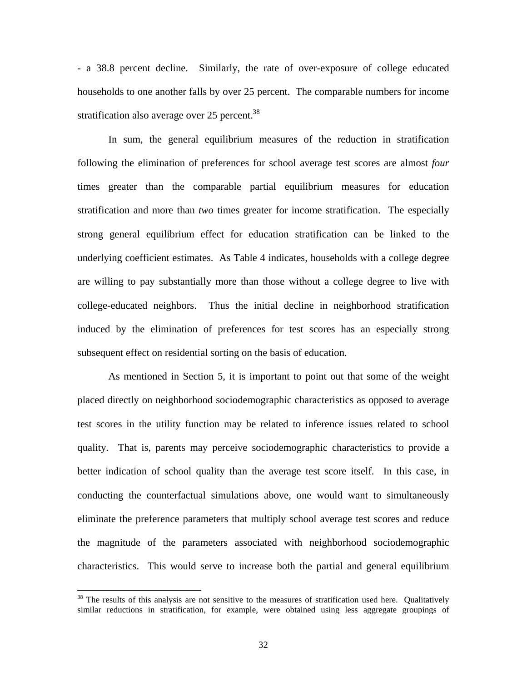- a 38.8 percent decline. Similarly, the rate of over-exposure of college educated households to one another falls by over 25 percent. The comparable numbers for income stratification also average over  $25$  percent.<sup>38</sup>

 In sum, the general equilibrium measures of the reduction in stratification following the elimination of preferences for school average test scores are almost *four* times greater than the comparable partial equilibrium measures for education stratification and more than *two* times greater for income stratification. The especially strong general equilibrium effect for education stratification can be linked to the underlying coefficient estimates. As Table 4 indicates, households with a college degree are willing to pay substantially more than those without a college degree to live with college-educated neighbors. Thus the initial decline in neighborhood stratification induced by the elimination of preferences for test scores has an especially strong subsequent effect on residential sorting on the basis of education.

As mentioned in Section 5, it is important to point out that some of the weight placed directly on neighborhood sociodemographic characteristics as opposed to average test scores in the utility function may be related to inference issues related to school quality. That is, parents may perceive sociodemographic characteristics to provide a better indication of school quality than the average test score itself. In this case, in conducting the counterfactual simulations above, one would want to simultaneously eliminate the preference parameters that multiply school average test scores and reduce the magnitude of the parameters associated with neighborhood sociodemographic characteristics. This would serve to increase both the partial and general equilibrium

 $38$  The results of this analysis are not sensitive to the measures of stratification used here. Qualitatively similar reductions in stratification, for example, were obtained using less aggregate groupings of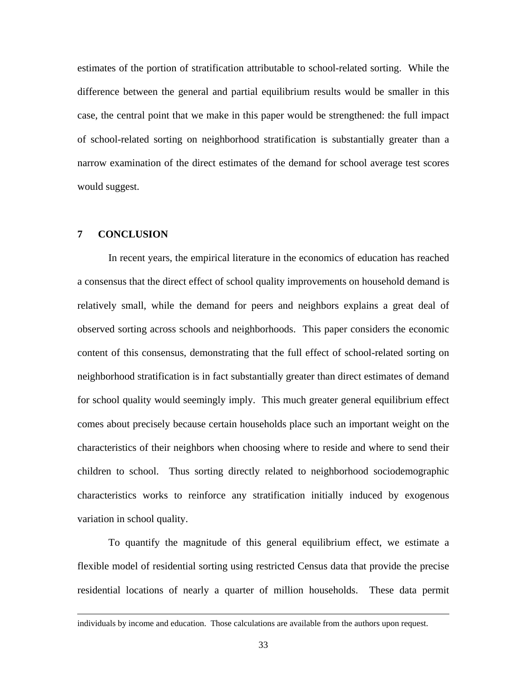estimates of the portion of stratification attributable to school-related sorting. While the difference between the general and partial equilibrium results would be smaller in this case, the central point that we make in this paper would be strengthened: the full impact of school-related sorting on neighborhood stratification is substantially greater than a narrow examination of the direct estimates of the demand for school average test scores would suggest.

# **7 CONCLUSION**

l

In recent years, the empirical literature in the economics of education has reached a consensus that the direct effect of school quality improvements on household demand is relatively small, while the demand for peers and neighbors explains a great deal of observed sorting across schools and neighborhoods. This paper considers the economic content of this consensus, demonstrating that the full effect of school-related sorting on neighborhood stratification is in fact substantially greater than direct estimates of demand for school quality would seemingly imply. This much greater general equilibrium effect comes about precisely because certain households place such an important weight on the characteristics of their neighbors when choosing where to reside and where to send their children to school. Thus sorting directly related to neighborhood sociodemographic characteristics works to reinforce any stratification initially induced by exogenous variation in school quality.

To quantify the magnitude of this general equilibrium effect, we estimate a flexible model of residential sorting using restricted Census data that provide the precise residential locations of nearly a quarter of million households. These data permit

individuals by income and education. Those calculations are available from the authors upon request.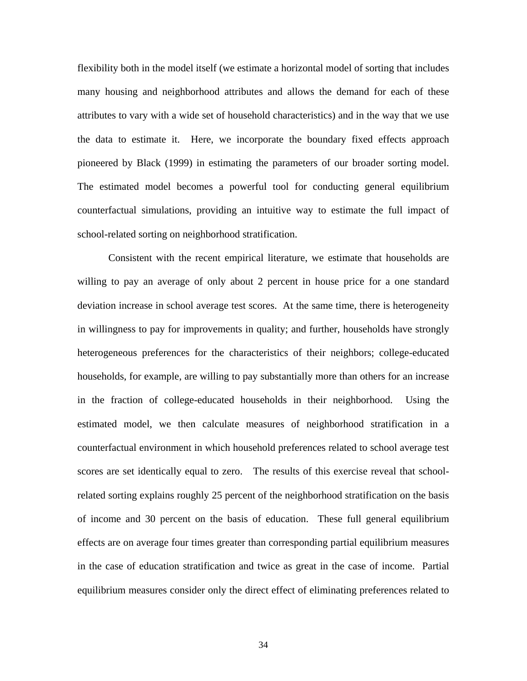flexibility both in the model itself (we estimate a horizontal model of sorting that includes many housing and neighborhood attributes and allows the demand for each of these attributes to vary with a wide set of household characteristics) and in the way that we use the data to estimate it. Here, we incorporate the boundary fixed effects approach pioneered by Black (1999) in estimating the parameters of our broader sorting model. The estimated model becomes a powerful tool for conducting general equilibrium counterfactual simulations, providing an intuitive way to estimate the full impact of school-related sorting on neighborhood stratification.

Consistent with the recent empirical literature, we estimate that households are willing to pay an average of only about 2 percent in house price for a one standard deviation increase in school average test scores. At the same time, there is heterogeneity in willingness to pay for improvements in quality; and further, households have strongly heterogeneous preferences for the characteristics of their neighbors; college-educated households, for example, are willing to pay substantially more than others for an increase in the fraction of college-educated households in their neighborhood. Using the estimated model, we then calculate measures of neighborhood stratification in a counterfactual environment in which household preferences related to school average test scores are set identically equal to zero. The results of this exercise reveal that schoolrelated sorting explains roughly 25 percent of the neighborhood stratification on the basis of income and 30 percent on the basis of education. These full general equilibrium effects are on average four times greater than corresponding partial equilibrium measures in the case of education stratification and twice as great in the case of income. Partial equilibrium measures consider only the direct effect of eliminating preferences related to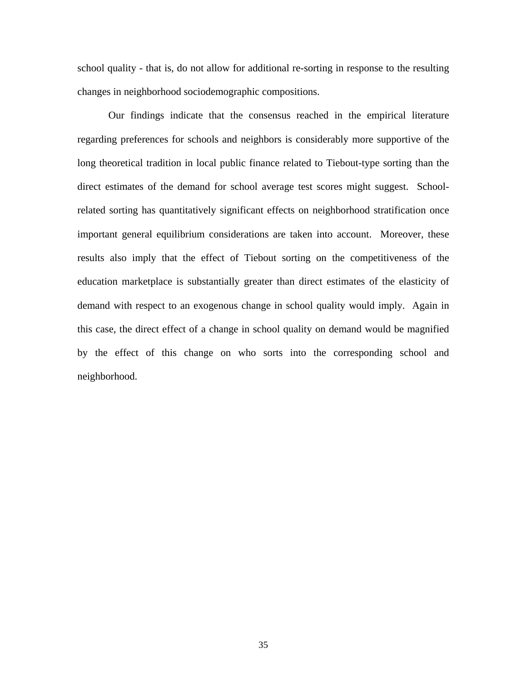school quality - that is, do not allow for additional re-sorting in response to the resulting changes in neighborhood sociodemographic compositions.

Our findings indicate that the consensus reached in the empirical literature regarding preferences for schools and neighbors is considerably more supportive of the long theoretical tradition in local public finance related to Tiebout-type sorting than the direct estimates of the demand for school average test scores might suggest. Schoolrelated sorting has quantitatively significant effects on neighborhood stratification once important general equilibrium considerations are taken into account. Moreover, these results also imply that the effect of Tiebout sorting on the competitiveness of the education marketplace is substantially greater than direct estimates of the elasticity of demand with respect to an exogenous change in school quality would imply. Again in this case, the direct effect of a change in school quality on demand would be magnified by the effect of this change on who sorts into the corresponding school and neighborhood.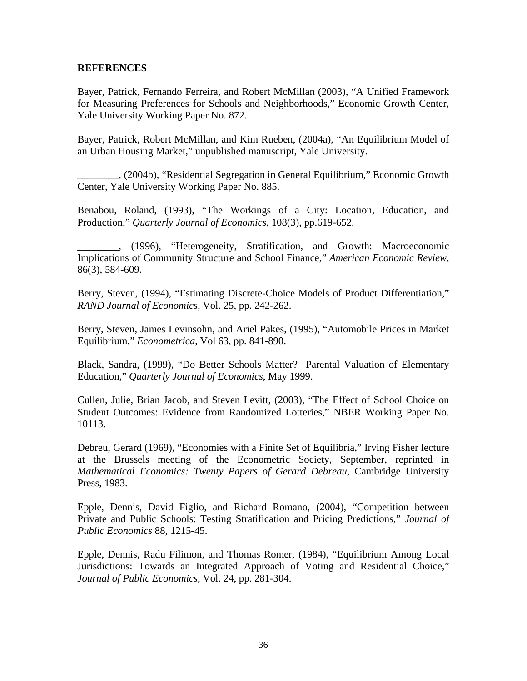# **REFERENCES**

Bayer, Patrick, Fernando Ferreira, and Robert McMillan (2003), "A Unified Framework for Measuring Preferences for Schools and Neighborhoods," Economic Growth Center, Yale University Working Paper No. 872.

Bayer, Patrick, Robert McMillan, and Kim Rueben, (2004a), "An Equilibrium Model of an Urban Housing Market," unpublished manuscript, Yale University.

\_\_\_\_\_\_\_\_, (2004b), "Residential Segregation in General Equilibrium," Economic Growth Center, Yale University Working Paper No. 885.

Benabou, Roland, (1993), "The Workings of a City: Location, Education, and Production," *Quarterly Journal of Economics*, 108(3), pp.619-652.

\_\_\_\_\_\_\_\_, (1996), "Heterogeneity, Stratification, and Growth: Macroeconomic Implications of Community Structure and School Finance," *American Economic Review*, 86(3), 584-609.

Berry, Steven, (1994), "Estimating Discrete-Choice Models of Product Differentiation," *RAND Journal of Economics*, Vol. 25, pp. 242-262.

Berry, Steven, James Levinsohn, and Ariel Pakes, (1995), "Automobile Prices in Market Equilibrium," *Econometrica*, Vol 63, pp. 841-890.

Black, Sandra, (1999), "Do Better Schools Matter? Parental Valuation of Elementary Education," *Quarterly Journal of Economics*, May 1999.

Cullen, Julie, Brian Jacob, and Steven Levitt, (2003), "The Effect of School Choice on Student Outcomes: Evidence from Randomized Lotteries," NBER Working Paper No. 10113.

Debreu, Gerard (1969), "Economies with a Finite Set of Equilibria," Irving Fisher lecture at the Brussels meeting of the Econometric Society, September, reprinted in *Mathematical Economics: Twenty Papers of Gerard Debreau*, Cambridge University Press, 1983.

Epple, Dennis, David Figlio, and Richard Romano, (2004), "Competition between Private and Public Schools: Testing Stratification and Pricing Predictions," *Journal of Public Economics* 88, 1215-45.

Epple, Dennis, Radu Filimon, and Thomas Romer, (1984), "Equilibrium Among Local Jurisdictions: Towards an Integrated Approach of Voting and Residential Choice*,*" *Journal of Public Economics*, Vol. 24, pp. 281-304.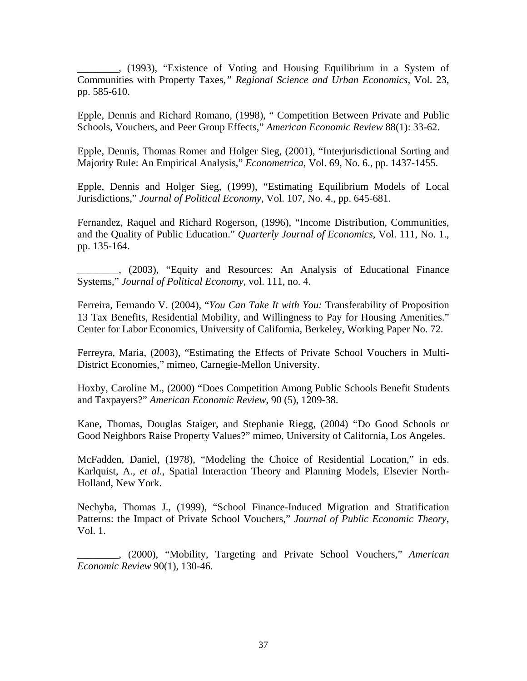\_\_\_\_\_\_\_\_, (1993), "Existence of Voting and Housing Equilibrium in a System of Communities with Property Taxes*," Regional Science and Urban Economics*, Vol. 23, pp. 585-610.

Epple, Dennis and Richard Romano, (1998), " Competition Between Private and Public Schools, Vouchers, and Peer Group Effects," *American Economic Review* 88(1): 33-62.

Epple, Dennis, Thomas Romer and Holger Sieg, (2001), "Interjurisdictional Sorting and Majority Rule: An Empirical Analysis," *Econometrica*, Vol. 69, No. 6., pp. 1437-1455.

Epple, Dennis and Holger Sieg, (1999), "Estimating Equilibrium Models of Local Jurisdictions," *Journal of Political Economy*, Vol. 107, No. 4., pp. 645-681.

Fernandez, Raquel and Richard Rogerson, (1996), "Income Distribution, Communities, and the Quality of Public Education." *Quarterly Journal of Economics*, Vol. 111, No. 1., pp. 135-164.

\_\_\_\_\_\_\_\_, (2003), "Equity and Resources: An Analysis of Educational Finance Systems," *Journal of Political Economy*, vol. 111, no. 4.

Ferreira, Fernando V. (2004), "*You Can Take It with You:* Transferability of Proposition 13 Tax Benefits, Residential Mobility, and Willingness to Pay for Housing Amenities." Center for Labor Economics, University of California, Berkeley, Working Paper No. 72.

Ferreyra, Maria, (2003), "Estimating the Effects of Private School Vouchers in Multi-District Economies," mimeo, Carnegie-Mellon University.

Hoxby, Caroline M., (2000) "Does Competition Among Public Schools Benefit Students and Taxpayers?" *American Economic Review*, 90 (5), 1209-38.

Kane, Thomas, Douglas Staiger, and Stephanie Riegg, (2004) "Do Good Schools or Good Neighbors Raise Property Values?" mimeo, University of California, Los Angeles.

McFadden, Daniel, (1978), "Modeling the Choice of Residential Location," in eds. Karlquist, A., *et al.*, Spatial Interaction Theory and Planning Models, Elsevier North-Holland, New York.

Nechyba, Thomas J., (1999), "School Finance-Induced Migration and Stratification Patterns: the Impact of Private School Vouchers," *Journal of Public Economic Theory*, Vol. 1.

\_\_\_\_\_\_\_\_, (2000), "Mobility, Targeting and Private School Vouchers," *American Economic Review* 90(1), 130-46.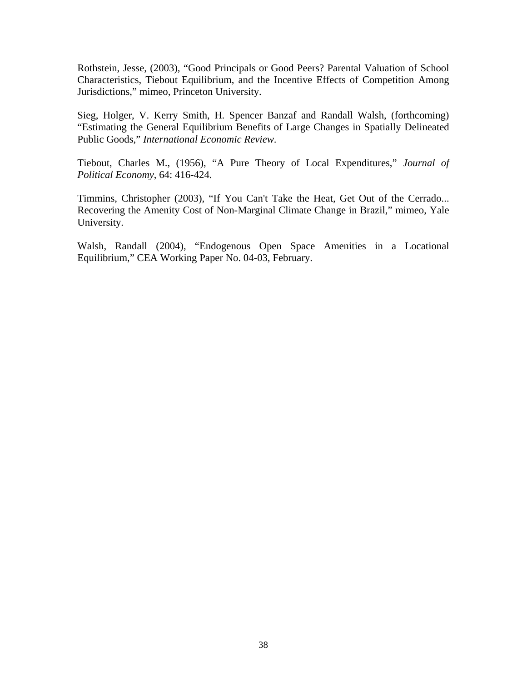Rothstein, Jesse, (2003), "Good Principals or Good Peers? Parental Valuation of School Characteristics, Tiebout Equilibrium, and the Incentive Effects of Competition Among Jurisdictions," mimeo, Princeton University.

Sieg, Holger, V. Kerry Smith, H. Spencer Banzaf and Randall Walsh, (forthcoming) "Estimating the General Equilibrium Benefits of Large Changes in Spatially Delineated Public Goods," *International Economic Review*.

Tiebout, Charles M., (1956), "A Pure Theory of Local Expenditures," *Journal of Political Economy*, 64: 416-424.

Timmins, Christopher (2003), "If You Can't Take the Heat, Get Out of the Cerrado... Recovering the Amenity Cost of Non-Marginal Climate Change in Brazil," mimeo, Yale University.

Walsh, Randall (2004), "Endogenous Open Space Amenities in a Locational Equilibrium," CEA Working Paper No. 04-03, February.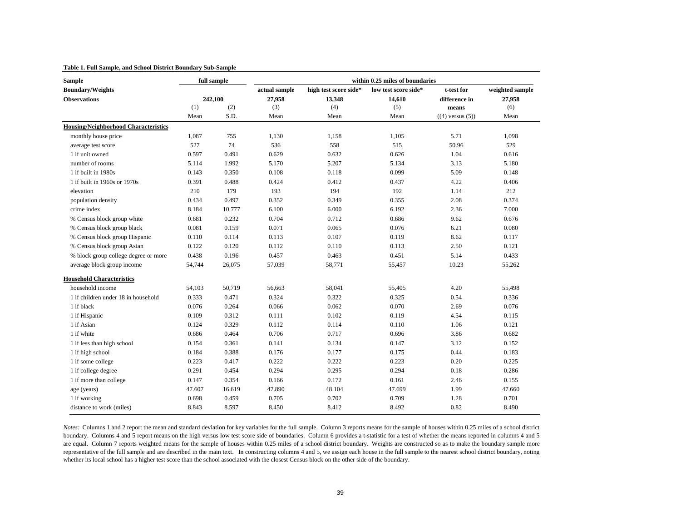#### **Table 1. Full Sample, and School District Boundary Sub-Sample**

| <b>Sample</b>                               |         | full sample | within 0.25 miles of boundaries |                       |                      |                       |                 |  |  |  |  |
|---------------------------------------------|---------|-------------|---------------------------------|-----------------------|----------------------|-----------------------|-----------------|--|--|--|--|
| <b>Boundary/Weights</b>                     | 242,100 |             | actual sample                   | high test score side* | low test score side* | t-test for            | weighted sample |  |  |  |  |
| <b>Observations</b>                         |         |             | 27,958                          | 13,348                | 14,610               | difference in         | 27,958          |  |  |  |  |
|                                             | (1)     | (2)         | (3)                             | (4)                   | (5)                  | means                 | (6)             |  |  |  |  |
|                                             | Mean    | S.D.        | Mean                            | Mean                  | Mean                 | $((4)$ versus $(5)$ ) | Mean            |  |  |  |  |
| <b>Housing/Neighborhood Characteristics</b> |         |             |                                 |                       |                      |                       |                 |  |  |  |  |
| monthly house price                         | 1,087   | 755         | 1,130                           | 1,158                 | 1.105                | 5.71                  | 1.098           |  |  |  |  |
| average test score                          | 527     | 74          | 536                             | 558                   | 515                  | 50.96                 | 529             |  |  |  |  |
| 1 if unit owned                             | 0.597   | 0.491       | 0.629                           | 0.632                 | 0.626                | 1.04                  | 0.616           |  |  |  |  |
| number of rooms                             | 5.114   | 1.992       | 5.170                           | 5.207                 | 5.134                | 3.13                  | 5.180           |  |  |  |  |
| 1 if built in 1980s                         | 0.143   | 0.350       | 0.108                           | 0.118                 | 0.099                | 5.09                  | 0.148           |  |  |  |  |
| 1 if built in 1960s or 1970s                | 0.391   | 0.488       | 0.424                           | 0.412                 | 0.437                | 4.22                  | 0.406           |  |  |  |  |
| elevation                                   | 210     | 179         | 193                             | 194                   | 192                  | 1.14                  | 212             |  |  |  |  |
| population density                          | 0.434   | 0.497       | 0.352                           | 0.349                 | 0.355                | 2.08                  | 0.374           |  |  |  |  |
| crime index                                 | 8.184   | 10.777      | 6.100                           | 6.000                 | 6.192                | 2.36                  | 7.000           |  |  |  |  |
| % Census block group white                  | 0.681   | 0.232       | 0.704                           | 0.712                 | 0.686                | 9.62                  | 0.676           |  |  |  |  |
| % Census block group black                  | 0.081   | 0.159       | 0.071                           | 0.065                 | 0.076                | 6.21                  | 0.080           |  |  |  |  |
| % Census block group Hispanic               | 0.110   | 0.114       | 0.113                           | 0.107                 | 0.119                | 8.62                  | 0.117           |  |  |  |  |
| % Census block group Asian                  | 0.122   | 0.120       | 0.112                           | 0.110                 | 0.113                | 2.50                  | 0.121           |  |  |  |  |
| % block group college degree or more        | 0.438   | 0.196       | 0.457                           | 0.463                 | 0.451                | 5.14                  | 0.433           |  |  |  |  |
| average block group income                  | 54,744  | 26,075      | 57,039                          | 58,771                | 55,457               | 10.23                 | 55,262          |  |  |  |  |
| <b>Household Characteristics</b>            |         |             |                                 |                       |                      |                       |                 |  |  |  |  |
| household income                            | 54,103  | 50,719      | 56,663                          | 58,041                | 55,405               | 4.20                  | 55,498          |  |  |  |  |
| 1 if children under 18 in household         | 0.333   | 0.471       | 0.324                           | 0.322                 | 0.325                | 0.54                  | 0.336           |  |  |  |  |
| 1 if black                                  | 0.076   | 0.264       | 0.066                           | 0.062                 | 0.070                | 2.69                  | 0.076           |  |  |  |  |
| 1 if Hispanic                               | 0.109   | 0.312       | 0.111                           | 0.102                 | 0.119                | 4.54                  | 0.115           |  |  |  |  |
| 1 if Asian                                  | 0.124   | 0.329       | 0.112                           | 0.114                 | 0.110                | 1.06                  | 0.121           |  |  |  |  |
| 1 if white                                  | 0.686   | 0.464       | 0.706                           | 0.717                 | 0.696                | 3.86                  | 0.682           |  |  |  |  |
| 1 if less than high school                  | 0.154   | 0.361       | 0.141                           | 0.134                 | 0.147                | 3.12                  | 0.152           |  |  |  |  |
| 1 if high school                            | 0.184   | 0.388       | 0.176                           | 0.177                 | 0.175                | 0.44                  | 0.183           |  |  |  |  |
| 1 if some college                           | 0.223   | 0.417       | 0.222                           | 0.222                 | 0.223                | 0.20                  | 0.225           |  |  |  |  |
| 1 if college degree                         | 0.291   | 0.454       | 0.294                           | 0.295                 | 0.294                | 0.18                  | 0.286           |  |  |  |  |
| 1 if more than college                      | 0.147   | 0.354       | 0.166                           | 0.172                 | 0.161                | 2.46                  | 0.155           |  |  |  |  |
| age (years)                                 | 47.607  | 16.619      | 47.890                          | 48.104                | 47.699               | 1.99                  | 47.660          |  |  |  |  |
| 1 if working                                | 0.698   | 0.459       | 0.705                           | 0.702                 | 0.709                | 1.28                  | 0.701           |  |  |  |  |
| distance to work (miles)                    | 8.843   | 8.597       | 8.450                           | 8.412                 | 8.492                | 0.82                  | 8.490           |  |  |  |  |

*Notes:* Columns 1 and 2 repor<sup>t</sup> the mean and standard deviation for key variables for the full sample. Column 3 reports means for the sample of houses within 0.25 miles of <sup>a</sup> school district boundary. Columns 4 and 5 repor<sup>t</sup> means on the high versus low test score side of boundaries. Column 6 provides <sup>a</sup> t-statistic for <sup>a</sup> test of whether the means reported in columns 4 and 5 are equal. Column 7 reports weighted means for the sample of houses within 0.25 miles of a school district boundary. Weights are constructed so as to make the boundary sample more representative of the full sample and are described in the main text. In constructing columns 4 and 5, we assign each house in the full sample to the nearest school district boundary, noting whether its local school has a higher test score than the school associated with the closest Census block on the other side of the boundary.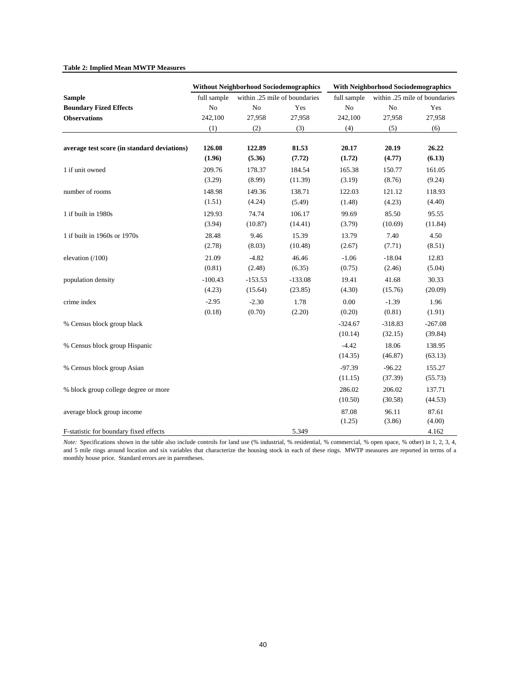#### **Table 2: Implied Mean MWTP Measures**

|                                             |             | <b>Without Neighborhood Sociodemographics</b> |                               | <b>With Neighborhood Sociodemographics</b> |                               |           |  |
|---------------------------------------------|-------------|-----------------------------------------------|-------------------------------|--------------------------------------------|-------------------------------|-----------|--|
| <b>Sample</b>                               | full sample |                                               | within .25 mile of boundaries | full sample                                | within .25 mile of boundaries |           |  |
| <b>Boundary Fized Effects</b>               | No          | No                                            | Yes                           | No                                         | No                            | Yes       |  |
| <b>Observations</b>                         | 242,100     | 27,958                                        | 27,958                        | 242,100                                    | 27,958                        | 27,958    |  |
|                                             | (1)         | (2)                                           | (3)                           | (4)                                        | (5)                           | (6)       |  |
| average test score (in standard deviations) | 126.08      | 122.89                                        | 81.53                         | 20.17                                      | 20.19                         | 26.22     |  |
|                                             | (1.96)      | (5.36)                                        | (7.72)                        | (1.72)                                     | (4.77)                        | (6.13)    |  |
| 1 if unit owned                             | 209.76      | 178.37                                        | 184.54                        | 165.38                                     | 150.77                        | 161.05    |  |
|                                             | (3.29)      | (8.99)                                        | (11.39)                       | (3.19)                                     | (8.76)                        | (9.24)    |  |
| number of rooms                             | 148.98      | 149.36                                        | 138.71                        | 122.03                                     | 121.12                        | 118.93    |  |
|                                             | (1.51)      | (4.24)                                        | (5.49)                        | (1.48)                                     | (4.23)                        | (4.40)    |  |
| 1 if built in 1980s                         | 129.93      | 74.74                                         | 106.17                        | 99.69                                      | 85.50                         | 95.55     |  |
|                                             | (3.94)      | (10.87)                                       | (14.41)                       | (3.79)                                     | (10.69)                       | (11.84)   |  |
| 1 if built in 1960s or 1970s                | 28.48       | 9.46                                          | 15.39                         | 13.79                                      | 7.40                          | 4.50      |  |
|                                             | (2.78)      | (8.03)                                        | (10.48)                       | (2.67)                                     | (7.71)                        | (8.51)    |  |
| elevation (/100)                            | 21.09       | $-4.82$                                       | 46.46                         | $-1.06$                                    | $-18.04$                      | 12.83     |  |
|                                             | (0.81)      | (2.48)                                        | (6.35)                        | (0.75)                                     | (2.46)                        | (5.04)    |  |
| population density                          | $-100.43$   | $-153.53$                                     | $-133.08$                     | 19.41                                      | 41.68                         | 30.33     |  |
|                                             | (4.23)      | (15.64)                                       | (23.85)                       | (4.30)                                     | (15.76)                       | (20.09)   |  |
| crime index                                 | $-2.95$     | $-2.30$                                       | 1.78                          | 0.00                                       | $-1.39$                       | 1.96      |  |
|                                             | (0.18)      | (0.70)                                        | (2.20)                        | (0.20)                                     | (0.81)                        | (1.91)    |  |
| % Census block group black                  |             |                                               |                               | $-324.67$                                  | $-318.83$                     | $-267.08$ |  |
|                                             |             |                                               |                               | (10.14)                                    | (32.15)                       | (39.84)   |  |
| % Census block group Hispanic               |             |                                               |                               | $-4.42$                                    | 18.06                         | 138.95    |  |
|                                             |             |                                               |                               | (14.35)                                    | (46.87)                       | (63.13)   |  |
| % Census block group Asian                  |             |                                               |                               | $-97.39$                                   | $-96.22$                      | 155.27    |  |
|                                             |             |                                               |                               | (11.15)                                    | (37.39)                       | (55.73)   |  |
| % block group college degree or more        |             |                                               |                               | 286.02                                     | 206.02                        | 137.71    |  |
|                                             |             |                                               |                               | (10.50)                                    | (30.58)                       | (44.53)   |  |
| average block group income                  |             |                                               |                               | 87.08                                      | 96.11                         | 87.61     |  |
|                                             |             |                                               |                               | (1.25)                                     | (3.86)                        | (4.00)    |  |
| F-statistic for boundary fixed effects      |             |                                               | 5.349                         |                                            |                               | 4.162     |  |

*Note:* Specifications shown in the table also include controls for land use (% industrial, % residential, % commercial, % open space, % other) in 1, 2, 3, 4, and 5 mile rings around location and six variables that characterize the housing stock in each of these rings. MWTP measures are reported in terms of a monthly house price. Standard errors are in parentheses.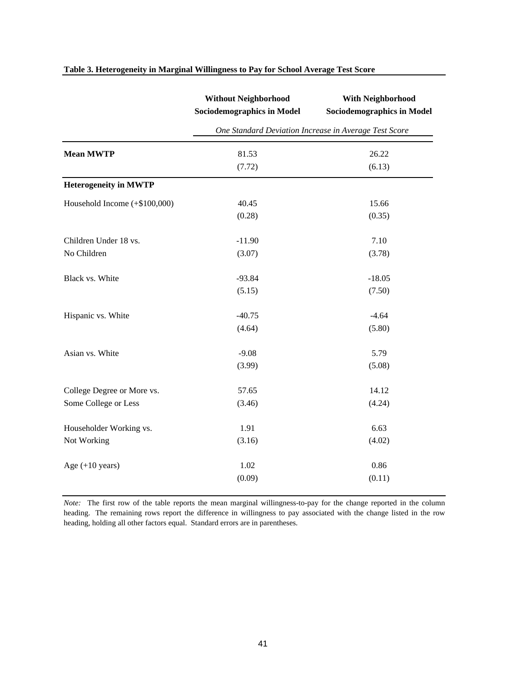|                               | <b>Without Neighborhood</b>                           | <b>With Neighborhood</b>          |  |  |  |  |  |  |  |
|-------------------------------|-------------------------------------------------------|-----------------------------------|--|--|--|--|--|--|--|
|                               | <b>Sociodemographics in Model</b>                     | <b>Sociodemographics in Model</b> |  |  |  |  |  |  |  |
|                               | One Standard Deviation Increase in Average Test Score |                                   |  |  |  |  |  |  |  |
| <b>Mean MWTP</b>              | 81.53                                                 | 26.22                             |  |  |  |  |  |  |  |
|                               | (7.72)                                                | (6.13)                            |  |  |  |  |  |  |  |
| <b>Heterogeneity in MWTP</b>  |                                                       |                                   |  |  |  |  |  |  |  |
| Household Income (+\$100,000) | 40.45                                                 | 15.66                             |  |  |  |  |  |  |  |
|                               | (0.28)                                                | (0.35)                            |  |  |  |  |  |  |  |
| Children Under 18 vs.         | $-11.90$                                              | 7.10                              |  |  |  |  |  |  |  |
| No Children                   | (3.07)                                                | (3.78)                            |  |  |  |  |  |  |  |
| Black vs. White               | $-93.84$                                              | $-18.05$                          |  |  |  |  |  |  |  |
|                               | (5.15)                                                | (7.50)                            |  |  |  |  |  |  |  |
| Hispanic vs. White            | $-40.75$                                              | $-4.64$                           |  |  |  |  |  |  |  |
|                               | (4.64)                                                | (5.80)                            |  |  |  |  |  |  |  |
| Asian vs. White               | $-9.08$                                               | 5.79                              |  |  |  |  |  |  |  |
|                               | (3.99)                                                | (5.08)                            |  |  |  |  |  |  |  |
| College Degree or More vs.    | 57.65                                                 | 14.12                             |  |  |  |  |  |  |  |
| Some College or Less          | (3.46)                                                | (4.24)                            |  |  |  |  |  |  |  |
| Householder Working vs.       | 1.91                                                  | 6.63                              |  |  |  |  |  |  |  |
| Not Working                   | (3.16)                                                | (4.02)                            |  |  |  |  |  |  |  |
| Age $(+10$ years)             | 1.02                                                  | 0.86                              |  |  |  |  |  |  |  |
|                               | (0.09)                                                | (0.11)                            |  |  |  |  |  |  |  |

## **Table 3. Heterogeneity in Marginal Willingness to Pay for School Average Test Score**

*Note:* The first row of the table reports the mean marginal willingness-to-pay for the change reported in the column heading. The remaining rows report the difference in willingness to pay associated with the change listed in the row heading, holding all other factors equal. Standard errors are in parentheses.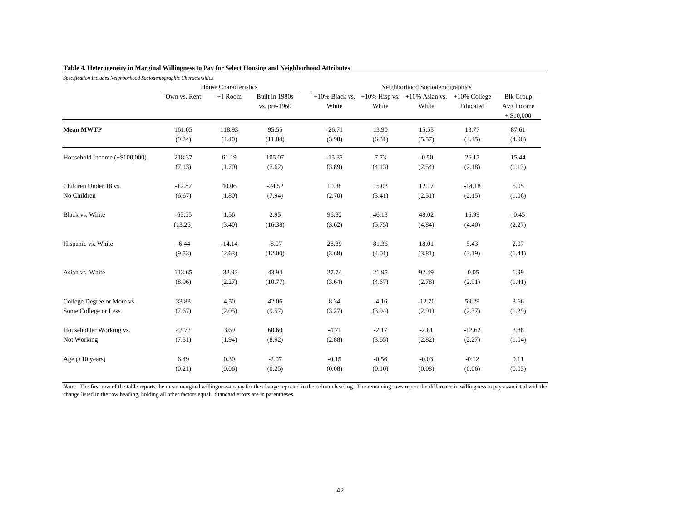| Specification includes Neignbornood Sociodemographic Charactersitics |              | House Characteristics |                                | Neighborhood Sociodemographics |         |                                                             |          |                                                |  |  |  |
|----------------------------------------------------------------------|--------------|-----------------------|--------------------------------|--------------------------------|---------|-------------------------------------------------------------|----------|------------------------------------------------|--|--|--|
|                                                                      | Own vs. Rent | $+1$ Room             | Built in 1980s<br>vs. pre-1960 | $+10\%$ Black vs.<br>White     | White   | $+10\%$ Hisp vs. $+10\%$ Asian vs. $+10\%$ College<br>White | Educated | <b>Blk Group</b><br>Avg Income<br>$+$ \$10,000 |  |  |  |
| <b>Mean MWTP</b>                                                     | 161.05       | 118.93                | 95.55                          | $-26.71$                       | 13.90   | 15.53                                                       | 13.77    | 87.61                                          |  |  |  |
|                                                                      | (9.24)       | (4.40)                | (11.84)                        | (3.98)                         | (6.31)  | (5.57)                                                      | (4.45)   | (4.00)                                         |  |  |  |
| Household Income (+\$100,000)                                        | 218.37       | 61.19                 | 105.07                         | $-15.32$                       | 7.73    | $-0.50$                                                     | 26.17    | 15.44                                          |  |  |  |
|                                                                      | (7.13)       | (1.70)                | (7.62)                         | (3.89)                         | (4.13)  | (2.54)                                                      | (2.18)   | (1.13)                                         |  |  |  |
| Children Under 18 vs.                                                | $-12.87$     | 40.06                 | $-24.52$                       | 10.38                          | 15.03   | 12.17                                                       | $-14.18$ | 5.05                                           |  |  |  |
| No Children                                                          | (6.67)       | (1.80)                | (7.94)                         | (2.70)                         | (3.41)  | (2.51)                                                      | (2.15)   | (1.06)                                         |  |  |  |
| Black vs. White                                                      | $-63.55$     | 1.56                  | 2.95                           | 96.82                          | 46.13   | 48.02                                                       | 16.99    | $-0.45$                                        |  |  |  |
|                                                                      | (13.25)      | (3.40)                | (16.38)                        | (3.62)                         | (5.75)  | (4.84)                                                      | (4.40)   | (2.27)                                         |  |  |  |
| Hispanic vs. White                                                   | $-6.44$      | $-14.14$              | $-8.07$                        | 28.89                          | 81.36   | 18.01                                                       | 5.43     | 2.07                                           |  |  |  |
|                                                                      | (9.53)       | (2.63)                | (12.00)                        | (3.68)                         | (4.01)  | (3.81)                                                      | (3.19)   | (1.41)                                         |  |  |  |
| Asian vs. White                                                      | 113.65       | $-32.92$              | 43.94                          | 27.74                          | 21.95   | 92.49                                                       | $-0.05$  | 1.99                                           |  |  |  |
|                                                                      | (8.96)       | (2.27)                | (10.77)                        | (3.64)                         | (4.67)  | (2.78)                                                      | (2.91)   | (1.41)                                         |  |  |  |
| College Degree or More vs.                                           | 33.83        | 4.50                  | 42.06                          | 8.34                           | $-4.16$ | $-12.70$                                                    | 59.29    | 3.66                                           |  |  |  |
| Some College or Less                                                 | (7.67)       | (2.05)                | (9.57)                         | (3.27)                         | (3.94)  | (2.91)                                                      | (2.37)   | (1.29)                                         |  |  |  |
| Householder Working vs.                                              | 42.72        | 3.69                  | 60.60                          | $-4.71$                        | $-2.17$ | $-2.81$                                                     | $-12.62$ | 3.88                                           |  |  |  |
| Not Working                                                          | (7.31)       | (1.94)                | (8.92)                         | (2.88)                         | (3.65)  | (2.82)                                                      | (2.27)   | (1.04)                                         |  |  |  |
| Age $(+10$ years)                                                    | 6.49         | 0.30                  | $-2.07$                        | $-0.15$                        | $-0.56$ | $-0.03$                                                     | $-0.12$  | 0.11                                           |  |  |  |
|                                                                      | (0.21)       | (0.06)                | (0.25)                         | (0.08)                         | (0.10)  | (0.08)                                                      | (0.06)   | (0.03)                                         |  |  |  |

# **Table 4. Heterogeneity in Marginal Willingness to Pay for Select Housing and Neighborhood Attributes**

*Specification Includes Neighborhood Sociodemographic Charactersitics*

*Note:* The first row of the table reports the mean marginal willingness-to-pay for the change reported in the column heading. The remaining rows report the difference in willingness to pay associated with the change listed in the row heading, holding all other factors equal. Standard errors are in parentheses.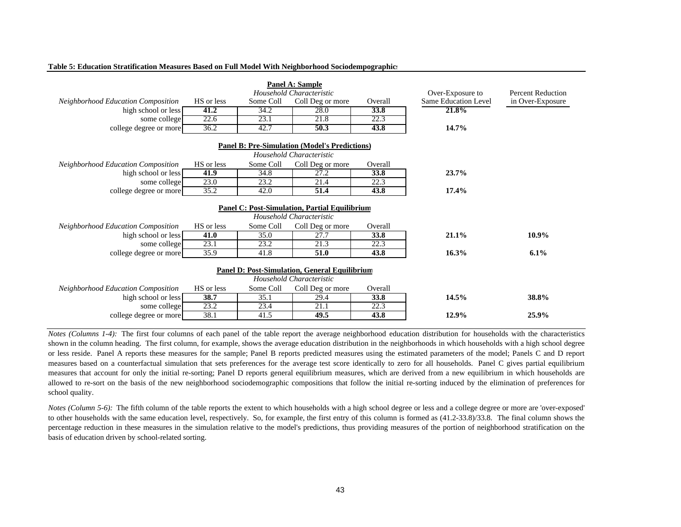| Panel A: Sample                                      |            |                          |                                                      |                          |                             |                  |  |  |  |  |  |  |  |
|------------------------------------------------------|------------|--------------------------|------------------------------------------------------|--------------------------|-----------------------------|------------------|--|--|--|--|--|--|--|
|                                                      |            | Household Characteristic | Over-Exposure to                                     | <b>Percent Reduction</b> |                             |                  |  |  |  |  |  |  |  |
| Neighborhood Education Composition                   | HS or less | Some Coll                | Coll Deg or more                                     | Overall                  | <b>Same Education Level</b> | in Over-Exposure |  |  |  |  |  |  |  |
| high school or less                                  | 41.2       | 34.2                     | 28.0                                                 | 33.8                     | 21.8%                       |                  |  |  |  |  |  |  |  |
| some college                                         | 22.6       | 23.1                     | 21.8                                                 | 22.3                     |                             |                  |  |  |  |  |  |  |  |
| college degree or more                               | 36.2       | 42.7                     | 50.3                                                 | 43.8                     | 14.7%                       |                  |  |  |  |  |  |  |  |
| <b>Panel B: Pre-Simulation (Model's Predictions)</b> |            |                          |                                                      |                          |                             |                  |  |  |  |  |  |  |  |
| Household Characteristic                             |            |                          |                                                      |                          |                             |                  |  |  |  |  |  |  |  |
| <b>Neighborhood Education Composition</b>            | HS or less | Some Coll                | Coll Deg or more                                     | Overall                  |                             |                  |  |  |  |  |  |  |  |
| high school or less                                  | 41.9       | 34.8                     | 27.2                                                 | 33.8                     | 23.7%                       |                  |  |  |  |  |  |  |  |
| some college                                         | 23.0       | 23.2                     | 21.4                                                 | 22.3                     |                             |                  |  |  |  |  |  |  |  |
| college degree or more                               | 35.2       | 42.0                     | 51.4                                                 | 43.8                     | 17.4%                       |                  |  |  |  |  |  |  |  |
| <b>Panel C: Post-Simulation, Partial Equilibrium</b> |            |                          |                                                      |                          |                             |                  |  |  |  |  |  |  |  |
|                                                      |            |                          | Household Characteristic                             |                          |                             |                  |  |  |  |  |  |  |  |
| <b>Neighborhood Education Composition</b>            | HS or less | Some Coll                | Coll Deg or more                                     | Overall                  |                             |                  |  |  |  |  |  |  |  |
| high school or less                                  | 41.0       | 35.0                     | 27.7                                                 | 33.8                     | 21.1%                       | 10.9%            |  |  |  |  |  |  |  |
| some college                                         | 23.1       | 23.2                     | 21.3                                                 | 22.3                     |                             |                  |  |  |  |  |  |  |  |
| college degree or more                               | 35.9       | 41.8                     | 51.0                                                 | 43.8                     | 16.3%                       | 6.1%             |  |  |  |  |  |  |  |
|                                                      |            |                          | <b>Panel D: Post-Simulation, General Equilibrium</b> |                          |                             |                  |  |  |  |  |  |  |  |
|                                                      |            |                          | Household Characteristic                             |                          |                             |                  |  |  |  |  |  |  |  |
|                                                      |            | Some Coll                |                                                      |                          |                             |                  |  |  |  |  |  |  |  |
| <b>Neighborhood Education Composition</b>            | HS or less |                          | Coll Deg or more                                     | Overall                  |                             |                  |  |  |  |  |  |  |  |
| high school or less                                  | 38.7       | 35.1                     | 29.4                                                 | 33.8                     | 14.5%                       | 38.8%            |  |  |  |  |  |  |  |
| some college                                         | 23.2       | 23.4                     | 21.1                                                 | 22.3                     |                             |                  |  |  |  |  |  |  |  |
| college degree or more                               | 38.1       | 41.5                     | 49.5                                                 | 43.8                     | 12.9%                       | 25.9%            |  |  |  |  |  |  |  |

#### **Table 5: Education Stratification Measures Based on Full Model With Neighborhood Sociodem pogra phics**

*Notes* (Columns 1-4): The first four columns of each panel of the table report the average neighborhood education distribution for households with the characteristics shown in the column heading. The first column, for example, shows the average education distribution in the neighborhoods in which households with <sup>a</sup> high school degree or less reside. Panel A reports these measures for the sample; Panel B reports predicted measures using the estimated parameters of the model; Panels C and D repor<sup>t</sup> measures based on <sup>a</sup> counterfactual simulation that sets preferences for the average test score identically to zero for all households. Panel C gives partial equilibrium measures that account for only the initial re-sorting; Panel D reports general equilibrium measures, which are derived from <sup>a</sup> new equilibrium in which households are allowed to re-sort on the basis of the new neighborhood sociodemographic compositions that follow the initial re-sorting induced by the elimination of preferences for school quality.

*Notes* (Column 5-6): The fifth column of the table reports the extent to which households with a high school degree or less and a college degree or more are 'over-exposed' to other households with the same education level, respectively. So, for example, the first entry of this column is formed as (41.2-33.8)/33.8. The final column shows the percentage reduction in these measures in the simulation relative to the model's predictions, thus providing measures of the portion of neighborhood stratification on the basis of education driven by school-related sorting.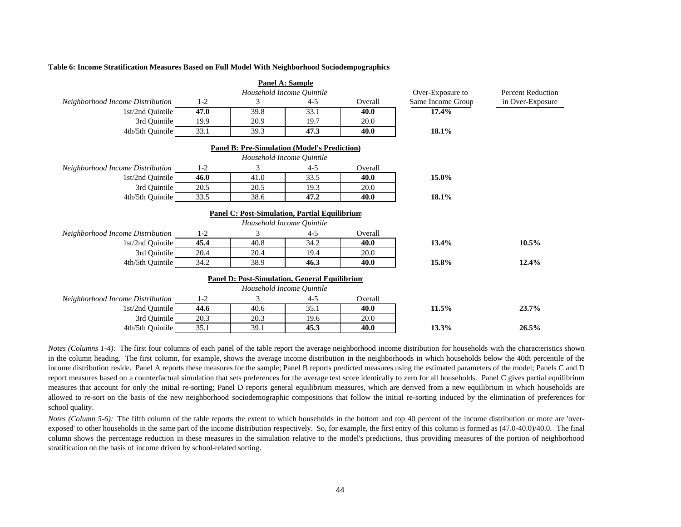|                                  |                           |                                                      | <b>Panel A: Sample</b>    |                   |                  |       |  |  |  |  |
|----------------------------------|---------------------------|------------------------------------------------------|---------------------------|-------------------|------------------|-------|--|--|--|--|
|                                  | Household Income Quintile |                                                      |                           |                   |                  |       |  |  |  |  |
| Neighborhood Income Distribution | $1 - 2$                   | 3                                                    | $4 - 5$                   | Same Income Group | in Over-Exposure |       |  |  |  |  |
| 1st/2nd Quintile                 | 47.0                      | 39.8                                                 | 33.1                      | 40.0              | 17.4%            |       |  |  |  |  |
| 3rd Quintile                     | 19.9                      | 20.9                                                 | 19.7                      | 20.0              |                  |       |  |  |  |  |
| 4th/5th Quintile                 | 33.1                      | 39.3                                                 | 47.3                      | 40.0              | 18.1%            |       |  |  |  |  |
|                                  |                           | <b>Panel B: Pre-Simulation (Model's Prediction)</b>  |                           |                   |                  |       |  |  |  |  |
|                                  |                           |                                                      | Household Income Quintile |                   |                  |       |  |  |  |  |
| Neighborhood Income Distribution | $1 - 2$                   | 3                                                    | $4 - 5$                   | Overall           |                  |       |  |  |  |  |
| 1st/2nd Quintile                 | 46.0                      | 41.0                                                 | 33.5                      | 40.0              | 15.0%            |       |  |  |  |  |
| 3rd Quintile                     | 20.5                      | 20.5                                                 | 19.3                      | 20.0              |                  |       |  |  |  |  |
| 4th/5th Quintile                 | 33.5                      | 38.6                                                 | 47.2                      | 40.0              | 18.1%            |       |  |  |  |  |
|                                  |                           | <b>Panel C: Post-Simulation, Partial Equilibrium</b> |                           |                   |                  |       |  |  |  |  |
|                                  |                           |                                                      | Household Income Quintile |                   |                  |       |  |  |  |  |
| Neighborhood Income Distribution | $1 - 2$                   | 3                                                    | $4 - 5$                   | Overall           |                  |       |  |  |  |  |
| 1st/2nd Quintile                 | 45.4                      | 40.8                                                 | 34.2                      | 40.0              | 13.4%            | 10.5% |  |  |  |  |
| 3rd Quintile                     | 20.4                      | 20.4                                                 | 19.4                      | 20.0              |                  |       |  |  |  |  |
| 4th/5th Quintile                 | 34.2                      | 38.9                                                 | 46.3                      | 40.0              | 15.8%            | 12.4% |  |  |  |  |
|                                  |                           | <b>Panel D: Post-Simulation, General Equilibrium</b> |                           |                   |                  |       |  |  |  |  |
|                                  |                           |                                                      | Household Income Ouintile |                   |                  |       |  |  |  |  |
| Neighborhood Income Distribution | $1 - 2$                   | 3                                                    | $4 - 5$                   | Overall           |                  |       |  |  |  |  |
| 1st/2nd Quintile                 | 44.6                      | 40.6                                                 | 35.1                      | 40.0              | 11.5%            | 23.7% |  |  |  |  |
| 3rd Quintile                     | 20.3                      | 20.3                                                 | 19.6                      | 20.0              |                  |       |  |  |  |  |
| 4th/5th Quintile                 | 35.1                      | 39.1                                                 | 45.3                      | 40.0              | 13.3%            | 26.5% |  |  |  |  |

#### **Table 6: Income Stratification Measures Based on Full Model With Neighborhood Sociodempographics**

*Notes* (Columns 1-4): The first four columns of each panel of the table report the average neighborhood income distribution for households with the characteristics shown in the column heading. The first column, for example, shows the average income distribution in the neighborhoods in which households below the 40th percentile of the income distribution reside. Panel A reports these measures for the sample; Panel B reports predicted measures using the estimated parameters of the model; Panels C and D repor<sup>t</sup> measures based on <sup>a</sup> counterfactual simulation that sets preferences for the average test score identically to zero for all households. Panel C gives partial equilibrium measures that account for only the initial re-sorting; Panel D reports general equilibrium measures, which are derived from <sup>a</sup> new equilibrium in which households are allowed to re-sort on the basis of the new neighborhood sociodemographic compositions that follow the initial re-sorting induced by the elimination of preferences for school quality.

*Notes* (Column 5-6): The fifth column of the table reports the extent to which households in the bottom and top 40 percent of the income distribution or more are 'overexposed' to other households in the same par<sup>t</sup> of the income distribution respectively. So, for example, the first entry of this column is formed as (47.0-40.0)/40.0. The final column shows the percentage reduction in these measures in the simulation relative to the model's predictions, thus providing measures of the portion of neighborhood stratification on the basis of income driven by school-related sorting.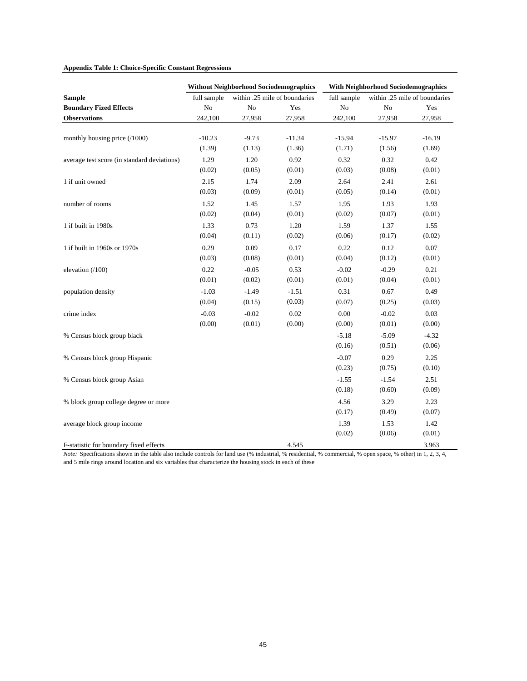## **Appendix Table 1: Choice-Specific Constant Regressions**

|                                             |             | <b>Without Neighborhood Sociodemographics</b> |                               | <b>With Neighborhood Sociodemographics</b> |          |                               |  |
|---------------------------------------------|-------------|-----------------------------------------------|-------------------------------|--------------------------------------------|----------|-------------------------------|--|
| <b>Sample</b>                               | full sample |                                               | within .25 mile of boundaries | full sample                                |          | within .25 mile of boundaries |  |
| <b>Boundary Fized Effects</b>               | $\rm No$    | No                                            | Yes                           | $\rm No$                                   | No       | Yes                           |  |
| <b>Observations</b>                         | 242,100     | 27,958                                        | 27,958                        | 242,100                                    | 27,958   | 27,958                        |  |
|                                             |             |                                               |                               |                                            |          |                               |  |
| monthly housing price (/1000)               | $-10.23$    | $-9.73$                                       | $-11.34$                      | $-15.94$                                   | $-15.97$ | $-16.19$                      |  |
|                                             | (1.39)      | (1.13)                                        | (1.36)                        | (1.71)                                     | (1.56)   | (1.69)                        |  |
| average test score (in standard deviations) | 1.29        | 1.20                                          | 0.92                          | 0.32                                       | 0.32     | 0.42                          |  |
|                                             | (0.02)      | (0.05)                                        | (0.01)                        | (0.03)                                     | (0.08)   | (0.01)                        |  |
| 1 if unit owned                             | 2.15        | 1.74                                          | 2.09                          | 2.64                                       | 2.41     | 2.61                          |  |
|                                             | (0.03)      | (0.09)                                        | (0.01)                        | (0.05)                                     | (0.14)   | (0.01)                        |  |
| number of rooms                             | 1.52        | 1.45                                          | 1.57                          | 1.95                                       | 1.93     | 1.93                          |  |
|                                             | (0.02)      | (0.04)                                        | (0.01)                        | (0.02)                                     | (0.07)   | (0.01)                        |  |
| 1 if built in 1980s                         | 1.33        | 0.73                                          | 1.20                          | 1.59                                       | 1.37     | 1.55                          |  |
|                                             | (0.04)      | (0.11)                                        | (0.02)                        | (0.06)                                     | (0.17)   | (0.02)                        |  |
| 1 if built in 1960s or 1970s                | 0.29        | 0.09                                          | 0.17                          | 0.22                                       | 0.12     | 0.07                          |  |
|                                             | (0.03)      | (0.08)                                        | (0.01)                        | (0.04)                                     | (0.12)   | (0.01)                        |  |
| elevation (/100)                            | 0.22        | $-0.05$                                       | 0.53                          | $-0.02$                                    | $-0.29$  | 0.21                          |  |
|                                             | (0.01)      | (0.02)                                        | (0.01)                        | (0.01)                                     | (0.04)   | (0.01)                        |  |
| population density                          | $-1.03$     | $-1.49$                                       | $-1.51$                       | 0.31                                       | 0.67     | 0.49                          |  |
|                                             | (0.04)      | (0.15)                                        | (0.03)                        | (0.07)                                     | (0.25)   | (0.03)                        |  |
| crime index                                 | $-0.03$     | $-0.02$                                       | 0.02                          | 0.00                                       | $-0.02$  | 0.03                          |  |
|                                             | (0.00)      | (0.01)                                        | (0.00)                        | (0.00)                                     | (0.01)   | (0.00)                        |  |
| % Census block group black                  |             |                                               |                               | $-5.18$                                    | $-5.09$  | $-4.32$                       |  |
|                                             |             |                                               |                               | (0.16)                                     | (0.51)   | (0.06)                        |  |
| % Census block group Hispanic               |             |                                               |                               | $-0.07$                                    | 0.29     | 2.25                          |  |
|                                             |             |                                               |                               | (0.23)                                     | (0.75)   | (0.10)                        |  |
| % Census block group Asian                  |             |                                               |                               | $-1.55$                                    | $-1.54$  | 2.51                          |  |
|                                             |             |                                               |                               | (0.18)                                     | (0.60)   | (0.09)                        |  |
| % block group college degree or more        |             |                                               |                               | 4.56                                       | 3.29     | 2.23                          |  |
|                                             |             |                                               |                               | (0.17)                                     | (0.49)   | (0.07)                        |  |
| average block group income                  |             |                                               |                               | 1.39                                       | 1.53     | 1.42                          |  |
|                                             |             |                                               |                               | (0.02)                                     | (0.06)   | (0.01)                        |  |
| F-statistic for boundary fixed effects      |             |                                               | 4.545                         |                                            |          | 3.963                         |  |

*Note:* Specifications shown in the table also include controls for land use (% industrial, % residential, % commercial, % open space, % other) in 1, 2, 3, 4, and 5 mile rings around location and six variables that characterize the housing stock in each of these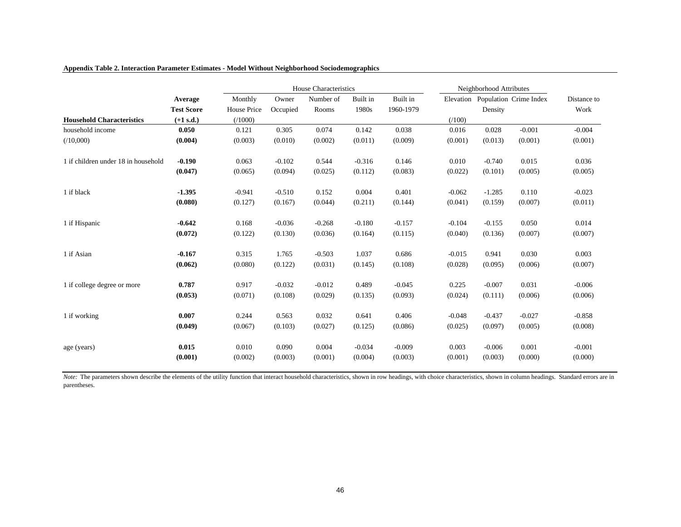|                                     |                   |                    |          | House Characteristics |          |           | Neighborhood Attributes |          |                                  |             |
|-------------------------------------|-------------------|--------------------|----------|-----------------------|----------|-----------|-------------------------|----------|----------------------------------|-------------|
|                                     | Average           | Monthly            | Owner    | Number of             | Built in | Built in  |                         |          | Elevation Population Crime Index | Distance to |
|                                     | <b>Test Score</b> | <b>House Price</b> | Occupied | Rooms                 | 1980s    | 1960-1979 |                         | Density  |                                  | Work        |
| <b>Household Characteristics</b>    | $(+1 s.d.)$       | (1000)             |          |                       |          |           | (100)                   |          |                                  |             |
| household income                    | 0.050             | 0.121              | 0.305    | 0.074                 | 0.142    | 0.038     | 0.016                   | 0.028    | $-0.001$                         | $-0.004$    |
| (10,000)                            | (0.004)           | (0.003)            | (0.010)  | (0.002)               | (0.011)  | (0.009)   | (0.001)                 | (0.013)  | (0.001)                          | (0.001)     |
| 1 if children under 18 in household | $-0.190$          | 0.063              | $-0.102$ | 0.544                 | $-0.316$ | 0.146     | 0.010                   | $-0.740$ | 0.015                            | 0.036       |
|                                     | (0.047)           | (0.065)            | (0.094)  | (0.025)               | (0.112)  | (0.083)   | (0.022)                 | (0.101)  | (0.005)                          | (0.005)     |
| 1 if black                          | $-1.395$          | $-0.941$           | $-0.510$ | 0.152                 | 0.004    | 0.401     | $-0.062$                | $-1.285$ | 0.110                            | $-0.023$    |
|                                     | (0.080)           | (0.127)            | (0.167)  | (0.044)               | (0.211)  | (0.144)   | (0.041)                 | (0.159)  | (0.007)                          | (0.011)     |
| 1 if Hispanic                       | $-0.642$          | 0.168              | $-0.036$ | $-0.268$              | $-0.180$ | $-0.157$  | $-0.104$                | $-0.155$ | 0.050                            | 0.014       |
|                                     | (0.072)           | (0.122)            | (0.130)  | (0.036)               | (0.164)  | (0.115)   | (0.040)                 | (0.136)  | (0.007)                          | (0.007)     |
| 1 if Asian                          | $-0.167$          | 0.315              | 1.765    | $-0.503$              | 1.037    | 0.686     | $-0.015$                | 0.941    | 0.030                            | 0.003       |
|                                     | (0.062)           | (0.080)            | (0.122)  | (0.031)               | (0.145)  | (0.108)   | (0.028)                 | (0.095)  | (0.006)                          | (0.007)     |
| 1 if college degree or more         | 0.787             | 0.917              | $-0.032$ | $-0.012$              | 0.489    | $-0.045$  | 0.225                   | $-0.007$ | 0.031                            | $-0.006$    |
|                                     | (0.053)           | (0.071)            | (0.108)  | (0.029)               | (0.135)  | (0.093)   | (0.024)                 | (0.111)  | (0.006)                          | (0.006)     |
| 1 if working                        | 0.007             | 0.244              | 0.563    | 0.032                 | 0.641    | 0.406     | $-0.048$                | $-0.437$ | $-0.027$                         | $-0.858$    |
|                                     | (0.049)           | (0.067)            | (0.103)  | (0.027)               | (0.125)  | (0.086)   | (0.025)                 | (0.097)  | (0.005)                          | (0.008)     |
| age (years)                         | 0.015             | 0.010              | 0.090    | 0.004                 | $-0.034$ | $-0.009$  | 0.003                   | $-0.006$ | 0.001                            | $-0.001$    |
|                                     | (0.001)           | (0.002)            | (0.003)  | (0.001)               | (0.004)  | (0.003)   | (0.001)                 | (0.003)  | (0.000)                          | (0.000)     |

## **Appendix Table 2. Interaction Parameter Estimates - Model Without Neighborhood Sociodemographics**

*Note:* The parameters shown describe the elements of the utility function that interact household characteristics, shown in row headings, with choice characteristics, shown in column headings. Standard errors are in parentheses.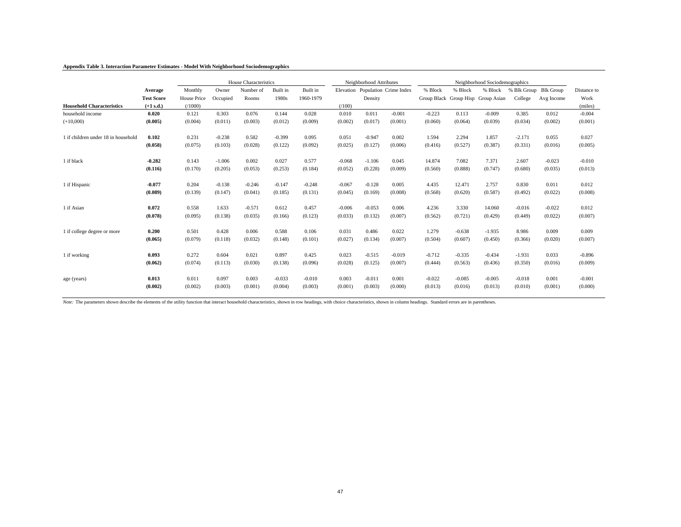### **Appendix Table 3. Interaction Parameter Estimates - Model With Neighborhood Sociodemographics**

|                                     |                   |                    | Neighborhood Attributes |           |          | Neighborhood Sociodemographics |          |          |                                  |          |          |                                    |                       |            |             |
|-------------------------------------|-------------------|--------------------|-------------------------|-----------|----------|--------------------------------|----------|----------|----------------------------------|----------|----------|------------------------------------|-----------------------|------------|-------------|
|                                     | Average           | Monthly            | Owner                   | Number of | Built in | Built in                       |          |          | Elevation Population Crime Index | % Block  | % Block  | % Block                            | % Blk Group Blk Group |            | Distance to |
|                                     | <b>Test Score</b> | <b>House Price</b> | Occupied                | Rooms     | 1980s    | 1960-1979                      |          | Density  |                                  |          |          | Group Black Group Hisp Group Asian | College               | Avg Income | Work        |
| <b>Household Characteristics</b>    | $(+1 s.d.)$       | (1000)             |                         |           |          |                                | (7100)   |          |                                  |          |          |                                    |                       |            | (miles)     |
| household income                    | 0.020             | 0.121              | 0.303                   | 0.076     | 0.144    | 0.028                          | 0.010    | 0.011    | $-0.001$                         | $-0.223$ | 0.113    | $-0.009$                           | 0.385                 | 0.012      | $-0.004$    |
| $(+10,000)$                         | (0.005)           | (0.004)            | (0.011)                 | (0.003)   | (0.012)  | (0.009)                        | (0.002)  | (0.017)  | (0.001)                          | (0.060)  | (0.064)  | (0.039)                            | (0.034)               | (0.002)    | (0.001)     |
| 1 if children under 18 in household | 0.102             | 0.231              | $-0.238$                | 0.582     | $-0.399$ | 0.095                          | 0.051    | $-0.947$ | 0.002                            | 1.594    | 2.294    | 1.857                              | $-2.171$              | 0.055      | 0.027       |
|                                     | (0.058)           | (0.075)            | (0.103)                 | (0.028)   | (0.122)  | (0.092)                        | (0.025)  | (0.127)  | (0.006)                          | (0.416)  | (0.527)  | (0.387)                            | (0.331)               | (0.016)    | (0.005)     |
| 1 if black                          | $-0.282$          | 0.143              | $-1.006$                | 0.002     | 0.027    | 0.577                          | $-0.068$ | $-1.106$ | 0.045                            | 14.874   | 7.082    | 7.371                              | 2.607                 | $-0.023$   | $-0.010$    |
|                                     | (0.116)           | (0.170)            | (0.205)                 | (0.053)   | (0.253)  | (0.184)                        | (0.052)  | (0.228)  | (0.009)                          | (0.560)  | (0.888)  | (0.747)                            | (0.680)               | (0.035)    | (0.013)     |
| 1 if Hispanic                       | $-0.077$          | 0.204              | $-0.138$                | $-0.246$  | $-0.147$ | $-0.248$                       | $-0.067$ | $-0.128$ | 0.005                            | 4.435    | 12.471   | 2.757                              | 0.830                 | 0.011      | 0.012       |
|                                     | (0.089)           | (0.139)            | (0.147)                 | (0.041)   | (0.185)  | (0.131)                        | (0.045)  | (0.169)  | (0.008)                          | (0.568)  | (0.620)  | (0.587)                            | (0.492)               | (0.022)    | (0.008)     |
| 1 if Asian                          | 0.072             | 0.558              | 1.633                   | $-0.571$  | 0.612    | 0.457                          | $-0.006$ | $-0.053$ | 0.006                            | 4.236    | 3.330    | 14.060                             | $-0.016$              | $-0.022$   | 0.012       |
|                                     | (0.078)           | (0.095)            | (0.138)                 | (0.035)   | (0.166)  | (0.123)                        | (0.033)  | (0.132)  | (0.007)                          | (0.562)  | (0.721)  | (0.429)                            | (0.449)               | (0.022)    | (0.007)     |
| 1 if college degree or more         | 0.200             | 0.501              | 0.428                   | 0.006     | 0.588    | 0.106                          | 0.031    | 0.486    | 0.022                            | 1.279    | $-0.638$ | $-1.935$                           | 8.986                 | 0.009      | 0.009       |
|                                     | (0.065)           | (0.079)            | (0.118)                 | (0.032)   | (0.148)  | (0.101)                        | (0.027)  | (0.134)  | (0.007)                          | (0.504)  | (0.607)  | (0.450)                            | (0.366)               | (0.020)    | (0.007)     |
| 1 if working                        | 0.093             | 0.272              | 0.604                   | 0.021     | 0.897    | 0.425                          | 0.023    | $-0.515$ | $-0.019$                         | $-0.712$ | $-0.335$ | $-0.434$                           | $-1.931$              | 0.033      | $-0.896$    |
|                                     | (0.062)           | (0.074)            | (0.113)                 | (0.030)   | (0.138)  | (0.096)                        | (0.028)  | (0.125)  | (0.007)                          | (0.444)  | (0.563)  | (0.436)                            | (0.350)               | (0.016)    | (0.009)     |
| age (years)                         | 0.013             | 0.011              | 0.097                   | 0.003     | $-0.033$ | $-0.010$                       | 0.003    | $-0.011$ | 0.001                            | $-0.022$ | $-0.085$ | $-0.005$                           | $-0.018$              | 0.001      | $-0.001$    |
|                                     | (0.002)           | (0.002)            | (0.003)                 | (0.001)   | (0.004)  | (0.003)                        | (0.001)  | (0.003)  | (0.000)                          | (0.013)  | (0.016)  | (0.013)                            | (0.010)               | (0.001)    | (0.000)     |

Note: The parameters shown describe the elements of the utility function that interact household characteristics, shown in row headings, with choice characteristics, shown in column headings. Standard errors are in parenth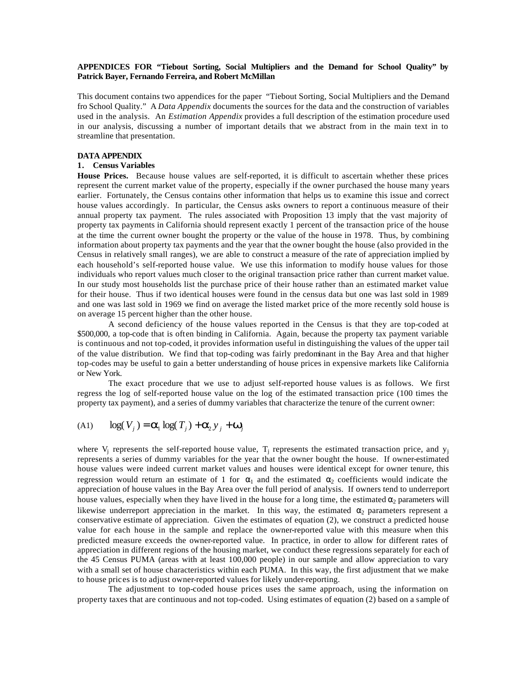## **APPENDICES FOR "Tiebout Sorting, Social Multipliers and the Demand for School Quality" by Patrick Bayer, Fernando Ferreira, and Robert McMillan**

This document contains two appendices for the paper "Tiebout Sorting, Social Multipliers and the Demand fro School Quality." A *Data Appendix* documents the sources for the data and the construction of variables used in the analysis. An *Estimation Appendix* provides a full description of the estimation procedure used in our analysis, discussing a number of important details that we abstract from in the main text in to streamline that presentation.

## **DATA APPENDIX**

## **1. Census Variables**

**House Prices.** Because house values are self-reported, it is difficult to ascertain whether these prices represent the current market value of the property, especially if the owner purchased the house many years earlier. Fortunately, the Census contains other information that helps us to examine this issue and correct house values accordingly. In particular, the Census asks owners to report a continuous measure of their annual property tax payment. The rules associated with Proposition 13 imply that the vast majority of property tax payments in California should represent exactly 1 percent of the transaction price of the house at the time the current owner bought the property or the value of the house in 1978. Thus, by combining information about property tax payments and the year that the owner bought the house (also provided in the Census in relatively small ranges), we are able to construct a measure of the rate of appreciation implied by each household's self-reported house value. We use this information to modify house values for those individuals who report values much closer to the original transaction price rather than current market value. In our study most households list the purchase price of their house rather than an estimated market value for their house. Thus if two identical houses were found in the census data but one was last sold in 1989 and one was last sold in 1969 we find on average the listed market price of the more recently sold house is on average 15 percent higher than the other house.

A second deficiency of the house values reported in the Census is that they are top-coded at \$500,000, a top-code that is often binding in California. Again, because the property tax payment variable is continuous and not top-coded, it provides information useful in distinguishing the values of the upper tail of the value distribution. We find that top-coding was fairly predominant in the Bay Area and that higher top-codes may be useful to gain a better understanding of house prices in expensive markets like California or New York.

The exact procedure that we use to adjust self-reported house values is as follows. We first regress the log of self-reported house value on the log of the estimated transaction price (100 times the property tax payment), and a series of dummy variables that characterize the tenure of the current owner:

$$
(A1) \qquad \log(V_j) = \mathbf{a}_1 \log(T_j) + \mathbf{a}_2 \mathbf{y}_j + \mathbf{w}_j
$$

where  $V_j$  represents the self-reported house value,  $T_j$  represents the estimated transaction price, and  $y_j$ represents a series of dummy variables for the year that the owner bought the house. If owner-estimated house values were indeed current market values and houses were identical except for owner tenure, this regression would return an estimate of 1 for  $\alpha_1$  and the estimated  $\alpha_2$  coefficients would indicate the appreciation of house values in the Bay Area over the full period of analysis. If owners tend to underreport house values, especially when they have lived in the house for a long time, the estimated  $\alpha_2$  parameters will likewise underreport appreciation in the market. In this way, the estimated  $\alpha_2$  parameters represent a conservative estimate of appreciation. Given the estimates of equation (2), we construct a predicted house value for each house in the sample and replace the owner-reported value with this measure when this predicted measure exceeds the owner-reported value. In practice, in order to allow for different rates of appreciation in different regions of the housing market, we conduct these regressions separately for each of the 45 Census PUMA (areas with at least 100,000 people) in our sample and allow appreciation to vary with a small set of house characteristics within each PUMA. In this way, the first adjustment that we make to house prices is to adjust owner-reported values for likely under-reporting.

The adjustment to top-coded house prices uses the same approach, using the information on property taxes that are continuous and not top-coded. Using estimates of equation (2) based on a sample of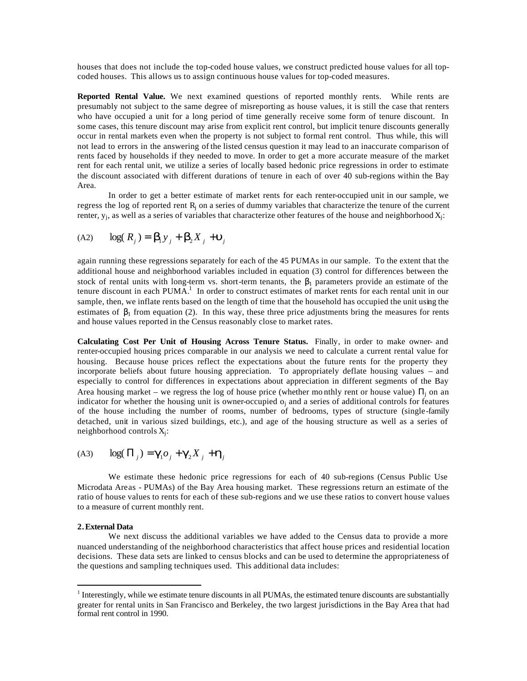houses that does not include the top-coded house values, we construct predicted house values for all topcoded houses. This allows us to assign continuous house values for top-coded measures.

**Reported Rental Value.** We next examined questions of reported monthly rents. While rents are presumably not subject to the same degree of misreporting as house values, it is still the case that renters who have occupied a unit for a long period of time generally receive some form of tenure discount. In some cases, this tenure discount may arise from explicit rent control, but implicit tenure discounts generally occur in rental markets even when the property is not subject to formal rent control. Thus while, this will not lead to errors in the answering of the listed census question it may lead to an inaccurate comparison of rents faced by households if they needed to move. In order to get a more accurate measure of the market rent for each rental unit, we utilize a series of locally based hedonic price regressions in order to estimate the discount associated with different durations of tenure in each of over 40 sub-regions within the Bay Area.

In order to get a better estimate of market rents for each renter-occupied unit in our sample, we regress the log of reported rent R<sub>j</sub> on a series of dummy variables that characterize the tenure of the current renter, y<sub>j</sub>, as well as a series of variables that characterize other features of the house and neighborhood X<sub>j</sub>:

$$
(A2) \qquad \log(R_j) = \mathbf{b}_1 y_j + \mathbf{b}_2 X_j + \mathbf{u}_j
$$

again running these regressions separately for each of the 45 PUMAs in our sample. To the extent that the additional house and neighborhood variables included in equation (3) control for differences between the stock of rental units with long-term vs. short-term tenants, the  $\beta_1$  parameters provide an estimate of the tenure discount in each PUMA.<sup>1</sup> In order to construct estimates of market rents for each rental unit in our sample, then, we inflate rents based on the length of time that the household has occupied the unit using the estimates of  $\beta_1$  from equation (2). In this way, these three price adjustments bring the measures for rents and house values reported in the Census reasonably close to market rates.

**Calculating Cost Per Unit of Housing Across Tenure Status.** Finally, in order to make owner- and renter-occupied housing prices comparable in our analysis we need to calculate a current rental value for housing. Because house prices reflect the expectations about the future rents for the property they incorporate beliefs about future housing appreciation. To appropriately deflate housing values – and especially to control for differences in expectations about appreciation in different segments of the Bay Area housing market – we regress the log of house price (whether monthly rent or house value)  $\Pi_j$  on an indicator for whether the housing unit is owner-occupied  $o_j$  and a series of additional controls for features of the house including the number of rooms, number of bedrooms, types of structure (single-family detached, unit in various sized buildings, etc.), and age of the housing structure as well as a series of neighborhood controls  $X_j$ :

$$
(A3) \qquad \log(\Pi_j) = \mathbf{g}_1 o_j + \mathbf{g}_2 X_j + \mathbf{h}_j
$$

We estimate these hedonic price regressions for each of 40 sub-regions (Census Public Use Microdata Areas - PUMAs) of the Bay Area housing market. These regressions return an estimate of the ratio of house values to rents for each of these sub-regions and we use these ratios to convert house values to a measure of current monthly rent.

#### **2.External Data**

 $\overline{a}$ 

We next discuss the additional variables we have added to the Census data to provide a more nuanced understanding of the neighborhood characteristics that affect house prices and residential location decisions. These data sets are linked to census blocks and can be used to determine the appropriateness of the questions and sampling techniques used. This additional data includes:

 $1$  Interestingly, while we estimate tenure discounts in all PUMAs, the estimated tenure discounts are substantially greater for rental units in San Francisco and Berkeley, the two largest jurisdictions in the Bay Area that had formal rent control in 1990.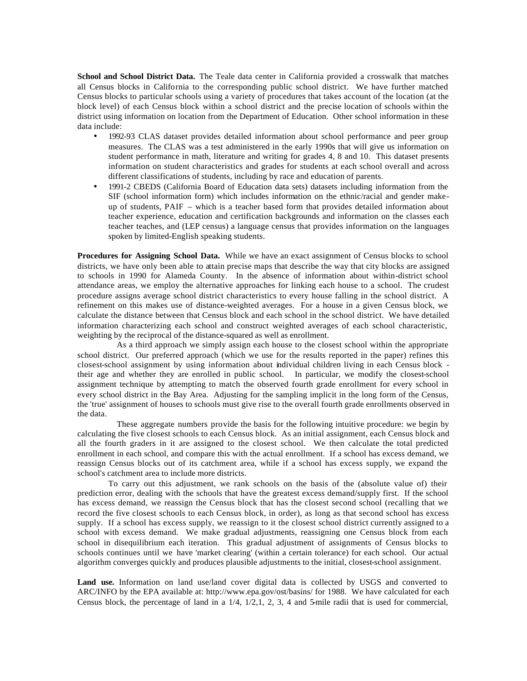**School and School District Data.** The Teale data center in California provided a crosswalk that matches all Census blocks in California to the corresponding public school district. We have further matched Census blocks to particular schools using a variety of procedures that takes account of the location (at the block level) of each Census block within a school district and the precise location of schools within the district using information on location from the Department of Education. Other school information in these data include:

- 1992-93 CLAS dataset provides detailed information about school performance and peer group measures. The CLAS was a test administered in the early 1990s that will give us information on student performance in math, literature and writing for grades 4, 8 and 10. This dataset presents information on student characteristics and grades for students at each school overall and across different classifications of students, including by race and education of parents.
- 1991-2 CBEDS (California Board of Education data sets) datasets including information from the SIF (school information form) which includes information on the ethnic/racial and gender makeup of students, PAIF – which is a teacher based form that provides detailed information about teacher experience, education and certification backgrounds and information on the classes each teacher teaches, and (LEP census) a language census that provides information on the languages spoken by limited-English speaking students.

**Procedures for Assigning School Data.** While we have an exact assignment of Census blocks to school districts, we have only been able to attain precise maps that describe the way that city blocks are assigned to schools in 1990 for Alameda County. In the absence of information about within-district school attendance areas, we employ the alternative approaches for linking each house to a school. The crudest procedure assigns average school district characteristics to every house falling in the school district. A refinement on this makes use of distance-weighted averages. For a house in a given Census block, we calculate the distance between that Census block and each school in the school district. We have detailed information characterizing each school and construct weighted averages of each school characteristic, weighting by the reciprocal of the distance-squared as well as enrollment.

As a third approach we simply assign each house to the closest school within the appropriate school district. Our preferred approach (which we use for the results reported in the paper) refines this closest-school assignment by using information about individual children living in each Census block their age and whether they are enrolled in public school. In particular, we modify the closest-school assignment technique by attempting to match the observed fourth grade enrollment for every school in every school district in the Bay Area. Adjusting for the sampling implicit in the long form of the Census, the 'true' assignment of houses to schools must give rise to the overall fourth grade enrollments observed in the data.

These aggregate numbers provide the basis for the following intuitive procedure: we begin by calculating the five closest schools to each Census block. As an initial assignment, each Census block and all the fourth graders in it are assigned to the closest school. We then calculate the total predicted enrollment in each school, and compare this with the actual enrollment. If a school has excess demand, we reassign Census blocks out of its catchment area, while if a school has excess supply, we expand the school's catchment area to include more districts.

To carry out this adjustment, we rank schools on the basis of the (absolute value of) their prediction error, dealing with the schools that have the greatest excess demand/supply first. If the school has excess demand, we reassign the Census block that has the closest second school (recalling that we record the five closest schools to each Census block, in order), as long as that second school has excess supply. If a school has excess supply, we reassign to it the closest school district currently assigned to a school with excess demand. We make gradual adjustments, reassigning one Census block from each school in disequilibrium each iteration. This gradual adjustment of assignments of Census blocks to schools continues until we have 'market clearing' (within a certain tolerance) for each school. Our actual algorithm converges quickly and produces plausible adjustments to the initial, closest-school assignment.

**Land use.** Information on land use/land cover digital data is collected by USGS and converted to ARC/INFO by the EPA available at: http://www.epa.gov/ost/basins/ for 1988. We have calculated for each Census block, the percentage of land in a  $1/4$ ,  $1/2, 1, 2, 3, 4$  and 5-mile radii that is used for commercial,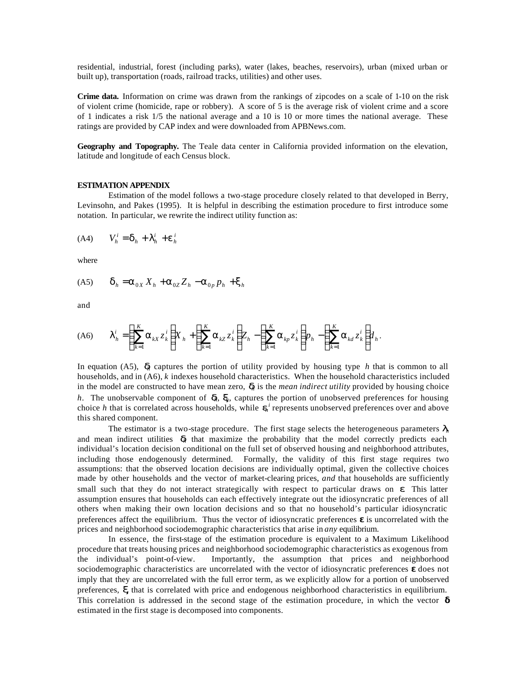residential, industrial, forest (including parks), water (lakes, beaches, reservoirs), urban (mixed urban or built up), transportation (roads, railroad tracks, utilities) and other uses.

**Crime data.** Information on crime was drawn from the rankings of zipcodes on a scale of 1-10 on the risk of violent crime (homicide, rape or robbery). A score of 5 is the average risk of violent crime and a score of 1 indicates a risk 1/5 the national average and a 10 is 10 or more times the national average. These ratings are provided by CAP index and were downloaded from APBNews.com.

**Geography and Topography.** The Teale data center in California provided information on the elevation, latitude and longitude of each Census block.

#### **ESTIMATION APPENDIX**

Estimation of the model follows a two-stage procedure closely related to that developed in Berry, Levinsohn, and Pakes (1995). It is helpful in describing the estimation procedure to first introduce some notation. In particular, we rewrite the indirect utility function as:

$$
(A4) \tVhi = dh + Ihi + ehi
$$

where

$$
(A5) \qquad \boldsymbol{d}_h = \boldsymbol{a}_{0X} X_h + \boldsymbol{a}_{0Z} Z_h - \boldsymbol{a}_{0p} p_h + \boldsymbol{x}_h
$$

and

$$
(A6) \qquad \boldsymbol{I}_h^i = \left(\sum_{k=1}^K \boldsymbol{a}_{kX} z_k^i\right) \!\! X_h + \left(\sum_{k=1}^K \boldsymbol{a}_{kZ} z_k^i\right) \!\! Z_h - \left(\sum_{k=1}^K \boldsymbol{a}_{kp} z_k^i\right) \!\! p_h - \left(\sum_{k=1}^K \boldsymbol{a}_{kd} z_k^i\right) \!\! d_h.
$$

In equation (A5),  $\boldsymbol{d}$  captures the portion of utility provided by housing type *h* that is common to all households, and in (A6), *k* indexes household characteristics. When the household characteristics included in the model are constructed to have mean zero, *dh* is the *mean indirect utility* provided by housing choice *h*. The unobservable component of *dh*, *xh*, captures the portion of unobserved preferences for housing choice *h* that is correlated across households, while  $\mathbf{e}_i$ <sup>*i*</sup> represents unobserved preferences over and above this shared component.

The estimator is a two-stage procedure. The first stage selects the heterogeneous parameters  $I_h$ and mean indirect utilities  $\boldsymbol{d}$  that maximize the probability that the model correctly predicts each individual's location decision conditional on the full set of observed housing and neighborhood attributes, including those endogenously determined. Formally, the validity of this first stage requires two assumptions: that the observed location decisions are individually optimal, given the collective choices made by other households and the vector of market-clearing prices, *and* that households are sufficiently small such that they do not interact strategically with respect to particular draws on *e*. This latter assumption ensures that households can each effectively integrate out the idiosyncratic preferences of all others when making their own location decisions and so that no household's particular idiosyncratic preferences affect the equilibrium. Thus the vector of idiosyncratic preferences **e** is uncorrelated with the prices and neighborhood sociodemographic characteristics that arise in *any* equilibrium.

In essence, the first-stage of the estimation procedure is equivalent to a Maximum Likelihood procedure that treats housing prices and neighborhood sociodemographic characteristics as exogenous from<br>the individual's point-of-view. Importantly, the assumption that prices and neighborhood Importantly, the assumption that prices and neighborhood sociodemographic characteristics are uncorrelated with the vector of idiosyncratic preferences **e** does not imply that they are uncorrelated with the full error term, as we explicitly allow for a portion of unobserved preferences, *x,* that is correlated with price and endogenous neighborhood characteristics in equilibrium. This correlation is addressed in the second stage of the estimation procedure, in which the vector **d** estimated in the first stage is decomposed into components.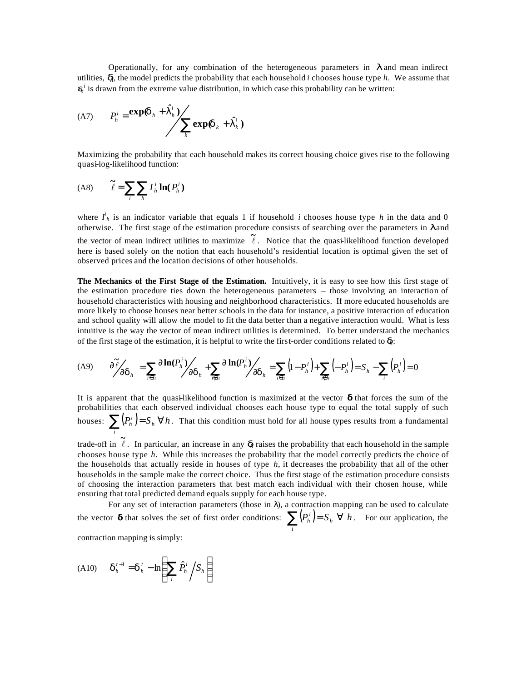Operationally, for any combination of the heterogeneous parameters in *l* and mean indirect utilities, *dh*, the model predicts the probability that each household *i* chooses house type *h*. We assume that  $\mathbf{e}_h^i$  is drawn from the extreme value distribution, in which case this probability can be written:

$$
(A7) \tPhi = exp(dh + Ihi)\tk\texp(dk + Iki)
$$

Maximizing the probability that each household makes its correct housing choice gives rise to the following quasi-log-likelihood function:

$$
(A8) \qquad \widetilde{\ell} = \sum_{i} \sum_{h} I_{h}^{i} \ln(P_{h}^{i})
$$

where  $I^i_h$  is an indicator variable that equals 1 if household *i* chooses house type *h* in the data and 0 otherwise. The first stage of the estimation procedure consists of searching over the parameters in *l* and the vector of mean indirect utilities to maximize  $\tilde{\ell}$ . Notice that the quasi-likelihood function developed here is based solely on the notion that each household's residential location is optimal given the set of observed prices and the location decisions of other households.

**The Mechanics of the First Stage of the Estimation.** Intuitively, it is easy to see how this first stage of the estimation procedure ties down the heterogeneous parameters – those involving an interaction of household characteristics with housing and neighborhood characteristics. If more educated households are more likely to choose houses near better schools in the data for instance, a positive interaction of education and school quality will allow the model to fit the data better than a negative interaction would. What is less intuitive is the way the vector of mean indirect utilities is determined. To better understand the mechanics of the first stage of the estimation, it is helpful to write the first-order conditions related to *dh*:

$$
(A9) \qquad \frac{\partial \tilde{\ell}}{\partial \mathbf{d}_h} = \sum_{i \in h} \frac{\partial \ln(P_i^i)}{\partial \mathbf{d}_h} + \sum_{i \in h} \frac{\partial \ln(P_i^i)}{\partial \mathbf{d}_h} = \sum_{i \in h} (1 - P_h^i) + \sum_{i \in h} (-P_h^i) = S_h - \sum_i (P_h^i) = 0
$$

It is apparent that the quasi-likelihood function is maximized at the vector **d** that forces the sum of the probabilities that each observed individual chooses each house type to equal the total supply of such houses:  $\sum (P_h^i) = S_h \ \forall h$ . That this condition must hold for all house types results from a fundamental *i*

trade-off in  $\tilde{\ell}$ . In particular, an increase in any *d* raises the probability that each household in the sample chooses house type *h*. While this increases the probability that the model correctly predicts the choice of the households that actually reside in houses of type *h*, it decreases the probability that all of the other households in the sample make the correct choice. Thus the first stage of the estimation procedure consists of choosing the interaction parameters that best match each individual with their chosen house, while ensuring that total predicted demand equals supply for each house type.

For any set of interaction parameters (those in  $\lambda$ ), a contraction mapping can be used to calculate the vector **d** that solves the set of first order conditions:  $\sum_{h} (P_h^i) = S_h \ \forall \ h$  $\sum_i (P_h^i) = S_h \ \forall \ h$ . For our application, the

contraction mapping is simply:

$$
(A10) \qquad \boldsymbol{d}_{h}^{t+1} = \boldsymbol{d}_{h}^{t} - \ln\left(\sum_{i} \hat{P}_{h}^{i} / S_{h}\right)
$$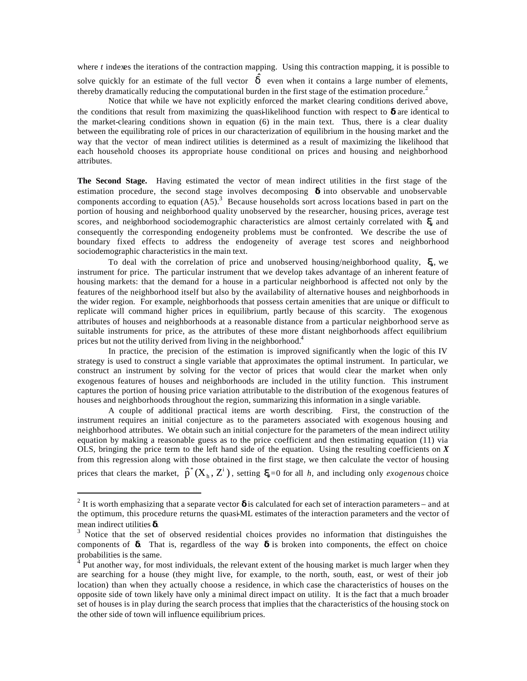where *t* indexes the iterations of the contraction mapping. Using this contraction mapping, it is possible to

solve quickly for an estimate of the full vector  $\hat{d}$  even when it contains a large number of elements, thereby dramatically reducing the computational burden in the first stage of the estimation procedure.<sup>2</sup>

Notice that while we have not explicitly enforced the market clearing conditions derived above, the conditions that result from maximizing the quasi-likelihood function with respect to **d** are identical to the market-clearing conditions shown in equation (6) in the main text. Thus, there is a clear duality between the equilibrating role of prices in our characterization of equilibrium in the housing market and the way that the vector of mean indirect utilities is determined as a result of maximizing the likelihood that each household chooses its appropriate house conditional on prices and housing and neighborhood attributes.

**The Second Stage.** Having estimated the vector of mean indirect utilities in the first stage of the estimation procedure, the second stage involves decomposing **d** into observable and unobservable components according to equation  $(A5)$ .<sup>3</sup> Because households sort across locations based in part on the portion of housing and neighborhood quality unobserved by the researcher, housing prices, average test scores, and neighborhood sociodemographic characteristics are almost certainly correlated with *xh* and consequently the corresponding endogeneity problems must be confronted. We describe the use of boundary fixed effects to address the endogeneity of average test scores and neighborhood sociodemographic characteristics in the main text.

To deal with the correlation of price and unobserved housing/neighborhood quality, *xh*, we instrument for price. The particular instrument that we develop takes advantage of an inherent feature of housing markets: that the demand for a house in a particular neighborhood is affected not only by the features of the neighborhood itself but also by the availability of alternative houses and neighborhoods in the wider region. For example, neighborhoods that possess certain amenities that are unique or difficult to replicate will command higher prices in equilibrium, partly because of this scarcity. The exogenous attributes of houses and neighborhoods at a reasonable distance from a particular neighborhood serve as suitable instruments for price, as the attributes of these more distant neighborhoods affect equilibrium prices but not the utility derived from living in the neighborhood.<sup>4</sup>

In practice, the precision of the estimation is improved significantly when the logic of this IV strategy is used to construct a single variable that approximates the optimal instrument. In particular, we construct an instrument by solving for the vector of prices that would clear the market when only exogenous features of houses and neighborhoods are included in the utility function. This instrument captures the portion of housing price variation attributable to the distribution of the exogenous features of houses and neighborhoods throughout the region, summarizing this information in a single variable.

A couple of additional practical items are worth describing. First, the construction of the instrument requires an initial conjecture as to the parameters associated with exogenous housing and neighborhood attributes. We obtain such an initial conjecture for the parameters of the mean indirect utility equation by making a reasonable guess as to the price coefficient and then estimating equation (11) via OLS, bringing the price term to the left hand side of the equation. Using the resulting coefficients on  $\overline{X}$ from this regression along with those obtained in the first stage, we then calculate the vector of housing prices that clears the market,  $\hat{p}^*(X_h, Z^i)$ h  $^*(X_h, Z^i)$ , setting  $\mathbf{x} = 0$  for all *h*, and including only *exogenous* choice

<sup>&</sup>lt;sup>2</sup> It is worth emphasizing that a separate vector **d** is calculated for each set of interaction parameters – and at the optimum, this procedure returns the quasi-ML estimates of the interaction parameters and the vector of mean indirect utilities **d**.

 $3$  Notice that the set of observed residential choices provides no information that distinguishes the components of **d**. That is, regardless of the way **d** is broken into components, the effect on choice probabilities is the same.

<sup>&</sup>lt;sup>4</sup> Put another way, for most individuals, the relevant extent of the housing market is much larger when they are searching for a house (they might live, for example, to the north, south, east, or west of their job location) than when they actually choose a residence, in which case the characteristics of houses on the opposite side of town likely have only a minimal direct impact on utility. It is the fact that a much broader set of houses is in play during the search process that implies that the characteristics of the housing stock on the other side of town will influence equilibrium prices.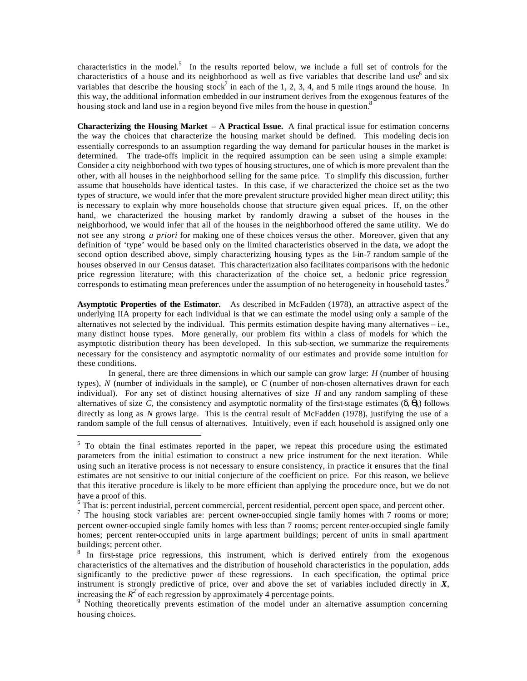characteristics in the model.<sup>5</sup> In the results reported below, we include a full set of controls for the characteristics of a house and its neighborhood as well as five variables that describe land use<sup>6</sup> and six variables that describe the housing stock<sup>7</sup> in each of the 1, 2, 3, 4, and 5 mile rings around the house. In this way, the additional information embedded in our instrument derives from the exogenous features of the housing stock and land use in a region beyond five miles from the house in question.<sup>8</sup>

**Characterizing the Housing Market – A Practical Issue.**A final practical issue for estimation concerns the way the choices that characterize the housing market should be defined. This modeling decision essentially corresponds to an assumption regarding the way demand for particular houses in the market is determined. The trade-offs implicit in the required assumption can be seen using a simple example: Consider a city neighborhood with two types of housing structures, one of which is more prevalent than the other, with all houses in the neighborhood selling for the same price. To simplify this discussion, further assume that households have identical tastes. In this case, if we characterized the choice set as the two types of structure, we would infer that the more prevalent structure provided higher mean direct utility; this is necessary to explain why more households choose that structure given equal prices. If, on the other hand, we characterized the housing market by randomly drawing a subset of the houses in the neighborhood, we would infer that all of the houses in the neighborhood offered the same utility. We do not see any strong *a priori* for making one of these choices versus the other. Moreover, given that any definition of 'type' would be based only on the limited characteristics observed in the data, we adopt the second option described above, simply characterizing housing types as the 1-in-7 random sample of the houses observed in our Census dataset. This characterization also facilitates comparisons with the hedonic price regression literature; with this characterization of the choice set, a hedonic price regression corresponds to estimating mean preferences under the assumption of no heterogeneity in household tastes.<sup>9</sup>

**Asymptotic Properties of the Estimator.** As described in McFadden (1978), an attractive aspect of the underlying IIA property for each individual is that we can estimate the model using only a sample of the alternatives not selected by the individual. This permits estimation despite having many alternatives – i.e., many distinct house types. More generally, our problem fits within a class of models for which the asymptotic distribution theory has been developed. In this sub-section, we summarize the requirements necessary for the consistency and asymptotic normality of our estimates and provide some intuition for these conditions.

In general, there are three dimensions in which our sample can grow large: *H* (number of housing types), *N* (number of individuals in the sample), or *C* (number of non-chosen alternatives drawn for each individual). For any set of distinct housing alternatives of size *H* and any random sampling of these alternatives of size *C*, the consistency and asymptotic normality of the first-stage estimates (δ, *ql*) follows directly as long as *N* grows large. This is the central result of McFadden (1978), justifying the use of a random sample of the full census of alternatives. Intuitively, even if each household is assigned only one

 $5$  To obtain the final estimates reported in the paper, we repeat this procedure using the estimated parameters from the initial estimation to construct a new price instrument for the next iteration. While using such an iterative process is not necessary to ensure consistency, in practice it ensures that the final estimates are not sensitive to our initial conjecture of the coefficient on price. For this reason, we believe that this iterative procedure is likely to be more efficient than applying the procedure once, but we do not have a proof of this.

<sup>&</sup>lt;sup>6</sup> That is: percent industrial, percent commercial, percent residential, percent open space, and percent other.

<sup>&</sup>lt;sup>7</sup> The housing stock variables are: percent owner-occupied single family homes with 7 rooms or more; percent owner-occupied single family homes with less than 7 rooms; percent renter-occupied single family homes; percent renter-occupied units in large apartment buildings; percent of units in small apartment buildings; percent other.

<sup>&</sup>lt;sup>8</sup> In first-stage price regressions, this instrument, which is derived entirely from the exogenous characteristics of the alternatives and the distribution of household characteristics in the population, adds significantly to the predictive power of these regressions. In each specification, the optimal price instrument is strongly predictive of price, over and above the set of variables included directly in *X*, increasing the  $R^2$  of each regression by approximately 4 percentage points.<br><sup>9</sup> Nothing theoretically prevents estimation of the model under an alternative assumption concerning

housing choices.